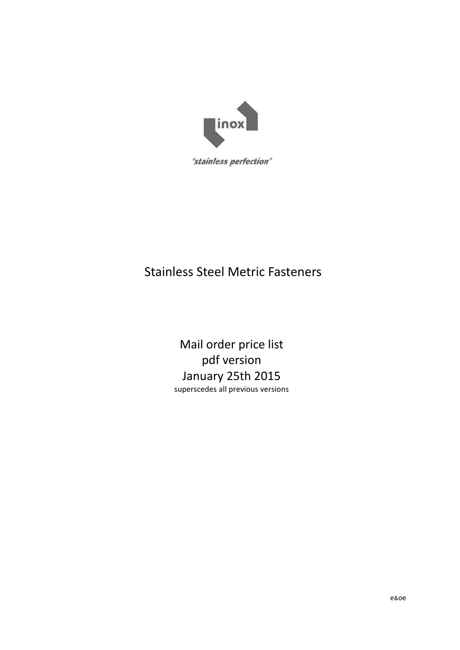

#### Stainless Steel Metric Fasteners

Mail order price list pdf version January 25th 2015 superscedes all previous versions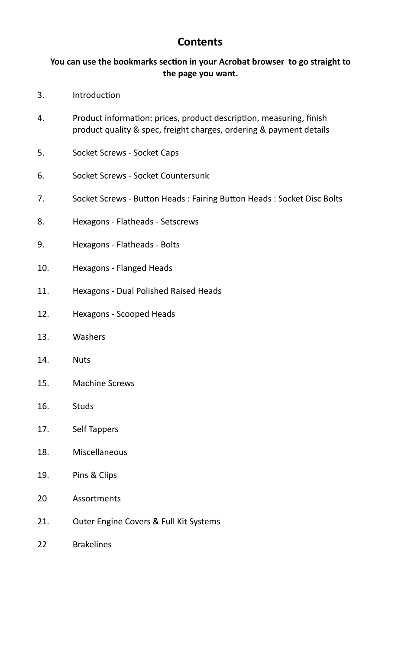#### **Contents**

#### You can use the bookmarks section in your Acrobat browser to go straight to **the page you want.**

- 3. Introduction
- 4. Product information: prices, product description, measuring, finish product quality & spec, freight charges, ordering & payment details
- 5. Socket Screws ‐ Socket Caps
- 6. Socket Screws ‐ Socket Countersunk
- 7. Socket Screws Button Heads : Fairing Button Heads : Socket Disc Bolts
- 8. Hexagons Flatheads Setscrews
- 9. Hexagons ‐ Flatheads ‐ Bolts
- 10. Hexagons Flanged Heads
- 11. Hexagons Dual Polished Raised Heads
- 12. Hexagons Scooped Heads
- 13. Washers
- 14. Nuts
- 15. Machine Screws
- 16. Studs
- 17. Self Tappers
- 18. Miscellaneous
- 19. Pins & Clips
- 20 **Assortments**
- 21. Outer Engine Covers & Full Kit Systems
- 22 Brakelines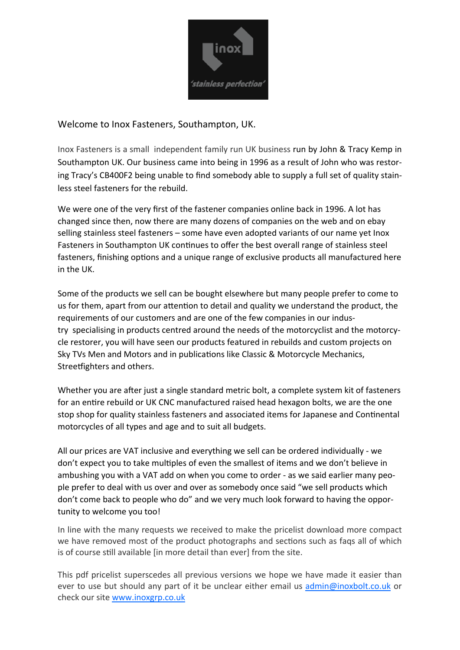

#### Welcome to Inox Fasteners, Southampton, UK.

Inox Fasteners is a small independent family run UK business run by John & Tracy Kemp in Southampton UK. Our business came into being in 1996 as a result of John who was restoring Tracy's CB400F2 being unable to find somebody able to supply a full set of quality stainless steel fasteners for the rebuild.

We were one of the very first of the fastener companies online back in 1996. A lot has changed since then, now there are many dozens of companies on the web and on ebay selling stainless steel fasteners – some have even adopted variants of our name yet Inox Fasteners in Southampton UK continues to offer the best overall range of stainless steel fasteners, finishing options and a unique range of exclusive products all manufactured here in the UK.

Some of the products we sell can be bought elsewhere but many people prefer to come to us for them, apart from our attention to detail and quality we understand the product, the requirements of our customers and are one of the few companies in our industry specialising in products centred around the needs of the motorcyclist and the motorcycle restorer, you will have seen our products featured in rebuilds and custom projects on Sky TVs Men and Motors and in publications like Classic & Motorcycle Mechanics, Streetfighters and others.

Whether you are after just a single standard metric bolt, a complete system kit of fasteners for an entire rebuild or UK CNC manufactured raised head hexagon bolts, we are the one stop shop for quality stainless fasteners and associated items for Japanese and Continental motorcycles of all types and age and to suit all budgets.

All our prices are VAT inclusive and everything we sell can be ordered individually - we don't expect you to take multiples of even the smallest of items and we don't believe in ambushing you with a VAT add on when you come to order - as we said earlier many people prefer to deal with us over and over as somebody once said "we sell products which don't come back to people who do" and we very much look forward to having the opportunity to welcome you too!

In line with the many requests we received to make the pricelist download more compact we have removed most of the product photographs and sections such as faqs all of which is of course still available [in more detail than ever] from the site.

This pdf pricelist superscedes all previous versions we hope we have made it easier than ever to use but should any part of it be unclear either email us admin@inoxbolt.co.uk or check our site www.inoxgrp.co.uk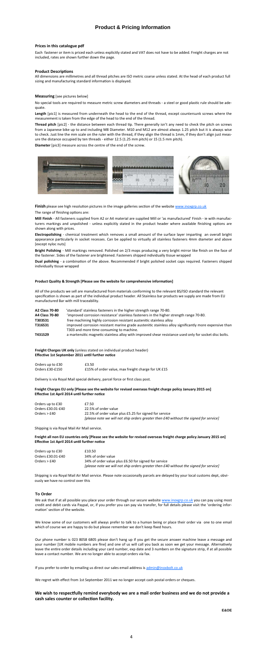#### **Product & Pricing Information**

**Mill Finish** ‐ All fasteners supplied from A2 or A4 material are supplied Mill or 'as manufactured' Finish ‐ ie with manufac‐ turers markings and unpolished - unless explicitly stated in the product header where available finishing options are shown along with prices.

Electropolishing - chemical treatment which removes a small amount of the surface layer imparting an overall bright appearance particularly in socket recesses. Can be applied to virtually all stainless fasteners 4mm diameter and above [except nyloc nuts]

**Bright Polishing** ‐ Mill markings removed. Polished on 2/3 mops producing a very bright mirror like finish on the face of the fastener. Sides of the fastener are brightened. Fasteners shipped individually tissue wrapped

Dual polishing - a combination of the above. Recommended if bright polished socket caps required. Fasteners shipped individually tissue wrapped

#### Product Quality & Strength [Please see the website for comprehensive information]

All dimensions are millimetres and all thread pitches are ISO metric coarse unless stated. At the head of each product full sizing and manufacturing standard information is displayed.

No special tools are required to measure metric screw diameters and threads - a steel or good plastic rule should be adequate.

#### **Prices in this catalogue pdf**

Each fastener or item is priced each unless explicitly stated and VAT does not have to be added. Freight charges are not included, rates are shown further down the page.

#### **Product DescripƟons**

#### **Measuring** [see pictures below]

**Length** [pic1] is measured from underneath the head to the end of the thread, except countersunk screws where the measurement is taken from the edge of the head to the end of the thread.

**Thread pitch** [pic2] ‐ the distance between each thread Ɵp. There generally isn't any need to check the pitch on screws from a Japanese bike up to and including M8 Diameter. M10 and M12 are almost always 1.25 pitch but it is always wise to check. Just line the mm scale on the ruler with the thread, if they align the thread is 1mm, if they don't align just measure the distance occupied by ten threads ‐ either 12.5 (1.25 mm pitch) or 15 (1.5 mm pitch).

**Diameter** [pic3] measure across the centre of the end of the screw.



Finish please see high resolution pictures in the image galleries section of the website www.inoxgrp.co.uk

The range of finishng options are:

All of the products we sell are manufactured from materials conforming to the relevant BS/ISO standard the relevant specification is shown as part of the individual product header. All Stainless bar products we supply are made from EU manufactured Bar with mill traceability.

| A2 Class 70-80 | 'standard' stainless fasteners in the higher strength range 70-80.                                                                                 |
|----------------|----------------------------------------------------------------------------------------------------------------------------------------------------|
| A4 Class 70-80 | 'improved corrosion resistance' stainless fasteners in the higher strength range 70-80.                                                            |
| T303S31        | free machining highly corrosion resistant austenitic stainless alloy                                                                               |
| T316S31        | improved corrosion resistant marine grade austenitic stainless alloy significantly more expensive than<br>T303 and more time consuming to machine. |
| T431S29        | a martensitic magnetic stainless alloy with improved shear resistance used only for socket disc bolts.                                             |
|                |                                                                                                                                                    |

#### **To Order**

We ask that if at all possible you place your order through our secure website www.inoxgrp.co.uk you can pay using most credit and debit cards via Paypal, or, if you prefer you can pay via transfer, for full details please visit the 'ordering infor‐ mation' section of the website.

We know some of our customers will always prefer to talk to a human being or place their order via one to one email which of course we are happy to do but please remember we don't keep fixed hours.

Our phone number is 023 8058 6805 please don't hang up if you get the secure answer machine leave a message and your number [UK mobile numbers are fine] and one of us will call you back as soon we get your message. Alternatively leave the entire order details including your card number, exp date and 3 numbers on the signature strip, if at all possible leave a contact number. We are no longer able to accept orders via fax.

If you prefer to order by emailing us direct our sales email address is admin@inoxbolt.co.uk

We regret with effect from 1st September 2011 we no longer accept cash postal orders or cheques.

#### We wish to respectfully remind everybody we are a mail order business and we do not provide a **cash sales counter or collection facility.**

**E&OE** 

**Freight Charges UK only** (unless stated on individual product header) **EffecƟve 1st September 2011 unƟl further noƟce** 

| Orders up to £30 | £3.50                                              |
|------------------|----------------------------------------------------|
| Orders £30-£150  | £15% of order value, max freight charge for UK £15 |

Delivery is via Royal Mail special delivery, parcel force or first class post.

**Freight Charges EU only [Please see the website for revised overseas freight charge policy January 2015 on] EffecƟve 1st April 2014 unƟl further noƟce** 

| Orders up to £30  | £7.50                                                                                 |
|-------------------|---------------------------------------------------------------------------------------|
| Orders £30.01-£40 | 22.5% of order value                                                                  |
| Orders $>$ £40    | 22.5% of order value plus £5.25 for signed for service                                |
|                   | [please note we will not ship orders greater then £40 without the signed for service] |

Shipping is via Royal Mail Air Mail service.

#### **Freight all non EU countries only [Please see the website for revised overseas freight charge policy January 2015 on] EffecƟve 1st April 2014 unƟl further noƟce**

| Orders up to £30  | £10.50                                                                                |
|-------------------|---------------------------------------------------------------------------------------|
| Orders £30.01-£40 | 34% of order value                                                                    |
| Orders $>$ £40    | 34% of order value plus £6.50 for signed for service                                  |
|                   | [please note we will not ship orders greater then £40 without the signed for service] |

Shipping is via Royal Mail Air Mail service. Please note occasionally parcels are delayed by your local customs dept, obvi‐ ously we have no control over this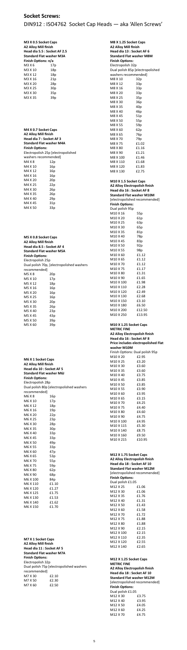#### **Socket Screws:**

#### DIN912 : ISO4762 Socket Cap Heads — aka 'Allen Screws'

| M3 X 0.5 Socket Caps<br><b>A2 Alloy Mill finish</b><br>Head dia 5.5 : Socket AF 2.5<br><b>Standard Flat washer M3A</b><br>Finish Options: n/a |                 |  |
|-----------------------------------------------------------------------------------------------------------------------------------------------|-----------------|--|
| M3 X 6                                                                                                                                        | 17p             |  |
| M3 X 10                                                                                                                                       | 18p             |  |
| M3 X 12                                                                                                                                       | 18p             |  |
| M3 X 16                                                                                                                                       | 21p             |  |
| M3 X 20                                                                                                                                       | 28p             |  |
| M3 X 25                                                                                                                                       | 30 <sub>p</sub> |  |
| M3 X 30                                                                                                                                       | 35p             |  |
| M3 X 35                                                                                                                                       | 39p             |  |
|                                                                                                                                               |                 |  |

| M4 X 0.7 Socket Caps               |     |  |
|------------------------------------|-----|--|
| <b>A2 Alloy Mill finish</b>        |     |  |
| Head dia 7 : Socket AF 3           |     |  |
| Standard Flat washer M4A           |     |  |
| <b>Finish Options:</b>             |     |  |
| Electropolish 25p [electropolished |     |  |
| washers recommended]               |     |  |
| M4 X 8                             | 12p |  |
| M4 X 10                            | 16p |  |
| M4 X 12                            | 16p |  |
| M4 X 16                            | 16p |  |
| M4 X 20                            | 20p |  |
| M4 X 25                            | 22p |  |
| M4 X 30                            | 26p |  |
| M4 X 35                            | 26p |  |
| M4 X 40                            | 29p |  |
| M4 X 45                            | 31p |  |
| M4 X 50                            | 33p |  |

| M5 X 0.8 Socket Caps<br><b>A2 Alloy Mill finish</b><br>Head dia 8.5 : Socket AF 4<br><b>Standard Flat washer M5A</b> |     |  |  |
|----------------------------------------------------------------------------------------------------------------------|-----|--|--|
| <b>Finish Options:</b>                                                                                               |     |  |  |
| Electropolish 25p                                                                                                    |     |  |  |
| Dual polish 70p, [electropolished washers                                                                            |     |  |  |
| recommended]                                                                                                         |     |  |  |
| M5 X 8                                                                                                               | 20p |  |  |
| M5 X 10                                                                                                              | 17p |  |  |
| M5 X 12                                                                                                              | 18p |  |  |
| M5 X 16                                                                                                              | 16p |  |  |
| M5 X 20                                                                                                              | 16p |  |  |
| M5 X 25                                                                                                              | 16p |  |  |
| M5 X 30                                                                                                              | 20p |  |  |
| M5 X 35                                                                                                              | 26p |  |  |
| M5 X 40                                                                                                              | 23p |  |  |
| M5 X 45                                                                                                              | 43p |  |  |
| M5 X 50                                                                                                              | 39p |  |  |
| M5 X 60                                                                                                              | 39p |  |  |

**M6 X 1 Socket Caps A2 Alloy Mill finish Head dia 10 : Socket AF 5 Standard Flat washer M6J Finish Options:** Electropolish 28p Dual polish 80p [electropolished washers recommended] M6 X 8 16p M6 X 10 17p M6 X 12 18p M6 X 16 19p M6 X 20 22p M6 X 25 23p M6 X 30 28p M6 X 35 30p M6 X 40 33p M6 X 45 33p M6 X 50 49p M6 X 55 33p M6 X 60 47p M6 X 65 53p M6 X 70 55p M6 X 75 59p M6 X 80 62p M6 X 90 68p M6 X 100 84p M6 X 110 £1.10 M6 X 120 £1.27 M6 X 125 £1.75

**M10 X 1.25 Socket Caps METRIC FINE A2 Alloy Electropolish finish Head dia 16 : Socket AF 8 Price includes electropolished Flat washer M10M**  Finish Options: Dual polish 95p M10 X 20 £2.95 M10 X 25 £3.20 M10 X 30 £3.60 M10 X 35 £3.60 M10 X 40 £3.75 M10 X 45 £3.85 M10 X 50 £3.85 M10 X 55 £3.90 M10 X 60 £3.95 M10 X 65 £3.15 M10 X 70 £4.25 M10 X 75 £4.40 M10 X 80 £4.60 M10 X 90 £4.75 M10 X 100 £4.95 M10 X 115 £5.30 M10 X 140 £8.75 M10 X 160 £9.50 M10 X 215 £10.95

M6 X 130 £1.53 M6 X 140 **£1.62** M6 X 150 £1.70

|                                  | M8 X 1.25 Socket Caps |  |  |
|----------------------------------|-----------------------|--|--|
| <b>A2 Alloy Mill finish</b>      |                       |  |  |
| Head dia 13 : Socket AF 6        |                       |  |  |
| <b>Standard Flat washer M8M</b>  |                       |  |  |
| <b>Finish Options:</b>           |                       |  |  |
| Electropolish 32p                |                       |  |  |
| Dual polish 85p [electropolished |                       |  |  |
| washers recommended]             |                       |  |  |
| M8 X 10                          | 32p                   |  |  |
| M8 X 12                          | 33p                   |  |  |
| M8 X 16                          | 33p                   |  |  |
| M8 X 20                          | 33p                   |  |  |
| M8 X 25                          | 35p                   |  |  |
| M8 X 30                          | 36p                   |  |  |
| M8 X 35                          | 40p                   |  |  |
| M8 X 40                          | 46p                   |  |  |
| M8 X 45                          | 51p                   |  |  |
| M8 X 50                          | 55p                   |  |  |
| M8 X 55                          | 59 <sub>p</sub>       |  |  |
| M8 X 60                          | 62p                   |  |  |
| M8 X 65                          | 76p                   |  |  |
| M8 X 70                          | 79 <sub>p</sub>       |  |  |
| M8 X 75                          | £1.02                 |  |  |
| M8 X 80                          | £1.16                 |  |  |
| M8 X 90                          | £1.21                 |  |  |
| M8 X 100                         | £1.46                 |  |  |
| M8 X 110                         | £1.68                 |  |  |
| M8 X 120                         | £1.83                 |  |  |
| M8 X 130                         | £2.75                 |  |  |

| M10 X 1.5 Socket Caps<br><b>A2 Alloy Electropolish finish</b><br>Head dia 16 : Socket AF 8<br><b>Standard Flat washer M10M</b> |                               |  |
|--------------------------------------------------------------------------------------------------------------------------------|-------------------------------|--|
|                                                                                                                                | [electropolished recommended] |  |
| <b>Finish Options:</b>                                                                                                         |                               |  |
| Dual polish 95p                                                                                                                |                               |  |
| M10 X 16                                                                                                                       | 55p                           |  |
| M10 X 20                                                                                                                       | 61 <sub>p</sub>               |  |
| M <sub>10</sub> x 25                                                                                                           | 63p                           |  |
| M10 X 30                                                                                                                       | 65p                           |  |
| M10 X 35                                                                                                                       | 81p                           |  |
| M10 X 40                                                                                                                       | 78p                           |  |
| M10 X 45                                                                                                                       | 83p                           |  |
| M10 X 50                                                                                                                       | 92p                           |  |
| M10 X 55                                                                                                                       | 98p                           |  |
| M10 X 60                                                                                                                       | £1.12                         |  |
| M10 X 65                                                                                                                       | f1.12                         |  |
| M10 X 70                                                                                                                       | £1.12                         |  |
| M10 X 75                                                                                                                       | £1.17                         |  |
| M10 X 80                                                                                                                       | £1.31                         |  |
| M10 X 90                                                                                                                       | £1.65                         |  |

|                       | 11.JU  |
|-----------------------|--------|
| M <sub>10</sub> x 110 | £2.28  |
| M <sub>10</sub> x 120 | £2.49  |
| M10 X 130             | £2.68  |
| M <sub>10</sub> x 150 | £3.10  |
| M10 X 180             | £6.50  |
| M <sub>10</sub> x 200 | £12.50 |
| M <sub>10</sub> x 250 | £13.95 |
|                       |        |

 $110 \times 100$   $21.09$ 

**M7 X 1 Socket Caps A2 Alloy Mill finish Head dia 11 : Socket AF 5 Standard Flat washer M7A Finish Options:** Electropolish 32p

| Dual polish 75p [electropolished washers] |
|-------------------------------------------|
| recommended]                              |

| M7 X 30 | f2.10 |
|---------|-------|
| M7 X 50 | £2.30 |
| M7 X 60 | £2.50 |

**M12 X 1.75 Socket Caps A2 Alloy Electropolish finish Head dia 18 : Socket AF 10 Standard Flat washer M12M**  [electropolished recommended] **Finish Options:** Dual polish £1.05 M12 X 25 £1.06 M12 X 30 £1.06 M12 X 35 £1.76 M12 X 40 £1.31 M12 X 50 £1.43 M12 X 60 £1.58 M12 X 70 £1.72 M12 X 75 £1.88 M12 X 80 £1.88 M12 X 90 £2.15 M12 X 100 £2.15 M12 X 110 £2.35 M12 X 120 £2.55 M12 X 140 £2.65

**M12 X 1.25 Socket Caps METRIC FINE** 

| <b>A2 Alloy Electropolish finish</b> |                               |  |  |
|--------------------------------------|-------------------------------|--|--|
| Head dia 18 : Socket AF 10           |                               |  |  |
| <b>Standard Flat washer M12M</b>     |                               |  |  |
|                                      | [electropolished recommended] |  |  |
| <b>Finish Options:</b>               |                               |  |  |
| Dual polish £1.05                    |                               |  |  |
| M12 X 30                             | £3.75                         |  |  |
| M12 X 40                             | £3.95                         |  |  |
| £4.05<br>M12 X 50                    |                               |  |  |
| £4.25<br>M12 X 60                    |                               |  |  |
| M12 X 70                             | £4.75                         |  |  |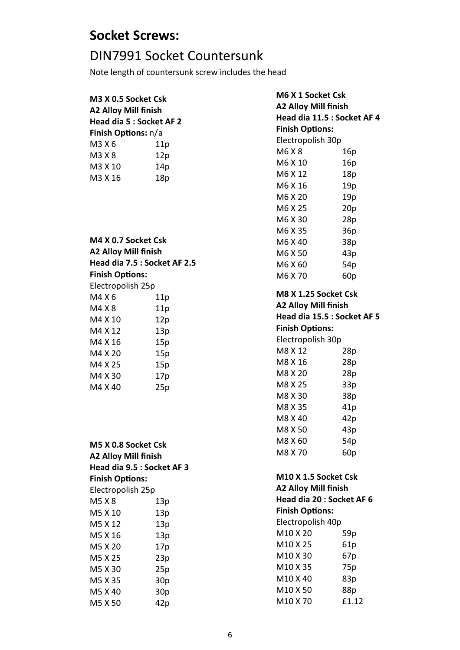#### **Socket Screws:**

#### DIN7991 Socket Countersunk

Note length of countersunk screw includes the head

| M3 X 0.5 Socket Csk<br><b>A2 Alloy Mill finish</b><br>Head dia 5 : Socket AF 2 |     |  |
|--------------------------------------------------------------------------------|-----|--|
| <b>Finish Options: n/a</b>                                                     |     |  |
| M3 X 6                                                                         | 11p |  |
| M3 X 8<br>12p                                                                  |     |  |
| M3 X 10<br>14p                                                                 |     |  |

M3 X 16 18p

| M4 X 0.7 Socket Csk          |     |  |
|------------------------------|-----|--|
| <b>A2 Alloy Mill finish</b>  |     |  |
| Head dia 7.5 : Socket AF 2.5 |     |  |
| <b>Finish Options:</b>       |     |  |
| Electropolish 25p            |     |  |
| M4 X 6                       | 11p |  |
| M4 X 8                       | 11p |  |
| M4 X 10                      | 12p |  |
| M4 X 12                      | 13p |  |
| M4 X 16                      | 15p |  |
| M4 X 20                      | 15p |  |
| M4 X 25                      | 15p |  |
| M4 X 30                      | 17p |  |
| M4 X 40                      | 25p |  |

| M5 X 0.8 Socket Csk<br><b>A2 Alloy Mill finish</b><br>Head dia 9.5 : Socket AF 3 |     |  |  |
|----------------------------------------------------------------------------------|-----|--|--|
| <b>Finish Options:</b>                                                           |     |  |  |
| Electropolish 25p                                                                |     |  |  |
| M5 X 8                                                                           | 13p |  |  |
| M5 X 10                                                                          | 13p |  |  |
| M5 X 12                                                                          | 13p |  |  |
| M5 X 16                                                                          | 13p |  |  |
| M5 X 20                                                                          | 17p |  |  |
| M5 X 25                                                                          | 23p |  |  |
| M5 X 30                                                                          | 25p |  |  |
| M5 X 35                                                                          | 30p |  |  |
| M5 X 40<br>30p                                                                   |     |  |  |
| M5 X 50                                                                          | 42p |  |  |

**M6 X 1 Socket Csk A2 Alloy Mill finish Head dia 11.5 : Socket AF 4 Finish Options:** Electropolish 30p M6 X 8 16p M6 X 10 16p M6 X 12 18p M6 X 16 19p M6 X 20 19p M6 X 25 20p M6 X 30 28p M6 X 35 36p M6 X 40 38p M6 X 50 43p M6 X 60 54p M6 X 70 60p **M8 X 1.25 Socket Csk A2 Alloy Mill finish Head dia 15.5 : Socket AF 5 Finish Options:** Electropolish 30p M8 X 12 28p M8 X 16 28p M8 X 20 28p M8 X 25 33p M8 X 30 38p M8 X 35 41p M8 X 40 42p M8 X 50 43p M8 X 60 54p M8 X 70 60p **M10 X 1.5 Socket Csk A2 Alloy Mill finish Head dia 20 : Socket AF 6 Finish Options:** Electropolish 40p M10 X 20 59p M10 X 25 61p M10 X 30 67p M10 X 35 75p M10 X 40 83p

M10 X 50 88p M10 X 70 £1.12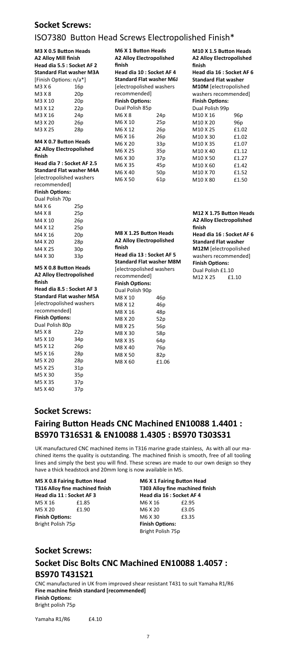M5 X 35 37p M5 X 40 37p **M6 X 1 BuƩon Heads A2 Alloy Electropolished finish Head dia 10 : Socket AF 4 Standard Flat washer M6J**  [electropolished washers recommended] **Finish Options:** Dual Polish 85p M6 X 8 24p M6 X 10 25p M6 X 12 26p M6 X 16 26p M6 X 20 33p M6 X 25 35p M6 X 30 37p M6 X 35 45p M6 X 40 50p M6 X 50 61p

**M10 X 1.5 BuƩon Heads A2 Alloy Electropolished finish Head dia 16 : Socket AF 6 Standard Flat washer M10M** [electropolished washers recommended] **Finish Options:** Dual Polish 99p M10 X 16 96p M10 X 20 96p M10 X 25 £1.02 M10 X 30 £1.02 M10 X 35 £1.07 M10 X 40 **£1.12** M10 X 50 £1.27 M10 X 60 **£1.42** M10 X 70 £1.52 M10 X 80 £1.50

### **Fairing Button Heads CNC Machined EN10088 1.4401 : BS970 T316S31 & EN10088 1.4305 : BS970 T303S31**

CNC manufactured in UK from improved shear resistant T431 to suit Yamaha R1/R6 **Fine machine finish standard [recommended] Finish Options:** 

**M8 X 1.25 BuƩon Heads A2 Alloy Electropolished finish Head dia 13 : Socket AF 5 Standard Flat washer M8M**  [electropolished washers recommended] **Finish Options:** Dual Polish 90p M8 X 10 46p M8 X 12 46p M8 X 16 48p M8 X 20 52p M8 X 25 56p M8 X 30 58p M8 X 35 64p M8 X 40 76p M8 X 50 82p M8 X 60 £1.06

| M3 X 0.5 Button Heads           |                 |  |  |
|---------------------------------|-----------------|--|--|
| <b>A2 Alloy Mill finish</b>     |                 |  |  |
| Head dia 5.5 : Socket AF 2      |                 |  |  |
| <b>Standard Flat washer M3A</b> |                 |  |  |
| [Finish Options: n/a*]          |                 |  |  |
| M3 X 6                          | 16p             |  |  |
| M3 X 8                          | 20p             |  |  |
| M3 X 10                         | 20p             |  |  |
| M3 X 12                         | 22p             |  |  |
| M3 X 16                         | 24p             |  |  |
| M3 X 20                         | 26p             |  |  |
| M3 X 25                         | 28p             |  |  |
| M4 X 0.7 Button Heads           |                 |  |  |
| <b>A2 Alloy Electropolished</b> |                 |  |  |
| finish                          |                 |  |  |
| Head dia 7 : Socket AF 2.5      |                 |  |  |
| <b>Standard Flat washer M4A</b> |                 |  |  |
| [electropolished washers        |                 |  |  |
| recommended]                    |                 |  |  |
| <b>Finish Options:</b>          |                 |  |  |
| Dual Polish 70p                 |                 |  |  |
| M4 X 6                          | 25p             |  |  |
| M4 X 8                          |                 |  |  |
|                                 | 25p             |  |  |
| M4 X 10                         | 26p             |  |  |
| M4 X 12                         | 25p             |  |  |
| M4 X 16                         | 20p             |  |  |
| M4 X 20                         | 28p             |  |  |
| M4 X 25                         | 30p             |  |  |
| M4 X 30                         | 33p             |  |  |
| M5 X 0.8 Button Heads           |                 |  |  |
| <b>A2 Alloy Electropolished</b> |                 |  |  |
| finish                          |                 |  |  |
| Head dia 8.5 : Socket AF 3      |                 |  |  |
| <b>Standard Flat washer M5A</b> |                 |  |  |
| [electropolished washers        |                 |  |  |
| recommended]                    |                 |  |  |
| <b>Finish Options:</b>          |                 |  |  |
| Dual Polish 80p                 |                 |  |  |
| M5 X 8                          | 22p             |  |  |
| M5 X 10                         | 34 <sub>p</sub> |  |  |
| M5 X 12                         | 26p             |  |  |
| M5 X 16                         | 28p             |  |  |
| M5 X 20                         | 28p             |  |  |
| M5 X 25                         | 31p             |  |  |
| M5 X 30                         | 35p             |  |  |
|                                 |                 |  |  |

#### **Socket Screws:**

### ISO7380 BuƩon Head Screws Electropolished Finish\*

#### **Socket Screws:**

#### **Socket Screws:**

### **Socket Disc Bolts CNC Machined EN10088 1.4057 : BS970 T431S21**

| M5 X 0.8 Fairing Button Head<br>T316 Alloy fine machined finish<br>Head dia 11 : Socket AF 3 |       | <b>M6 X 1 Fairing Button Head</b><br>T303 Alloy fine machined finish<br>Head dia 16 : Socket AF 4 |       |  |
|----------------------------------------------------------------------------------------------|-------|---------------------------------------------------------------------------------------------------|-------|--|
|                                                                                              |       |                                                                                                   |       |  |
| M5 X 20                                                                                      | £1.90 | M6 X 20                                                                                           | £3.05 |  |
| <b>Finish Options:</b>                                                                       |       | M6 X 30                                                                                           | £3.35 |  |
| Bright Polish 75p                                                                            |       | <b>Finish Options:</b>                                                                            |       |  |
|                                                                                              |       | Bright Polish 75p                                                                                 |       |  |

Bright polish 75p

Yamaha R1/R6 £4.10

UK manufactured CNC machined items in T316 marine grade stainless, As with all our machined items the quality is outstanding. The machined finish is smooth, free of all tooling lines and simply the best you will find. These screws are made to our own design so they have a thick headstock and 20mm long is now available in M5.

**M12 X 1.75 BuƩon Heads A2 Alloy Electropolished finish Head dia 16 : Socket AF 6 Standard Flat washer M12M** [electropolished washers recommended] **Finish Options:** Dual Polish £1.10 M12 X 25 £1.10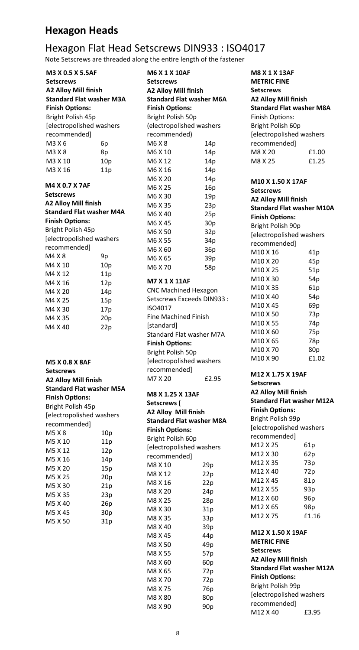### Hexagon Flat Head Setscrews DIN933 : ISO4017

Note Setscrews are threaded along the entire length of the fastener

**M3 X 0.5 X 5.5AF Setscrews A2 Alloy Mill finish Standard Flat washer M3A Finish Options:** Bright Polish 45p [electropolished washers recommended] M3 X 6 6p  $M3 X 8$  8p M3 X 10 10p M3 X 16 11p

**M4 X 0.7 X 7AF Setscrews A2 Alloy Mill finish Standard Flat washer M4A Finish Options:** Bright Polish 45p [electropolished washers recommended] M4 X 8 9p M4 X 10 10p M4 X 12 11p M4 X 16 12p M4 X 20 14p M4 X 25 15p M4 X 30 17p M4 X 35 20p M4 X 40 22p

#### **M5 X 0.8 X 8AF Setscrews A2 Alloy Mill finish Standard Flat washer M5A Finish Options:** Bright Polish 45p [electropolished washers recommended] M5 X 8 10p M5 X 10 11p M5 X 12 12p M5 X 16 14p M5 X 20 15p M5 X 25 20p M5 X 30 21p M5 X 35 23p M5 X 40 26p M5 X 45 30p M5 X 50 31p

**M6 X 1 X 10AF Setscrews A2 Alloy Mill finish Standard Flat washer M6A Finish Options:** Bright Polish 50p (electropolished washers recommended) M6 X 8 14p M6 X 10 14p M6 X 12 14p M6 X 16 14p M6 X 20 14p M6 X 25 16p M6 X 30 19p M6 X 35 23p M6 X 40 25p M6 X 45 30p M6 X 50 32p M6 X 55 34p M6 X 60 36p M6 X 65 39p M6 X 70 58p **M7 X 1 X 11AF**  CNC Machined Hexagon Setscrews Exceeds DIN933 : ISO4017 Fine Machined Finish [standard] Standard Flat washer M7A **Finish Options:** Bright Polish 50p [electropolished washers recommended] M7 X 20 £2.95 **M8 X 1.25 X 13AF Setscrews ( A2 Alloy Mill finish Standard Flat washer M8A** 

**Finish Options:** Bright Polish 60p [electropolished washers recommended] M8 X 10 29p M8 X 12 22p M8 X 16 22p M8 X 20 24p M8 X 25 28p M8 X 30 31p M8 X 35 33p M8 X 40 39p M8 X 45 44p M8 X 50 49p M8 X 55 57p M8 X 60 60p M8 X 65 72p M8 X 70 72p M8 X 75 76p M8 X 80 80p M8 X 90 90p

8

```
M8 X 1 X 13AF 
METRIC FINE 
Setscrews 
A2 Alloy Mill finish 
Standard Flat washer M8A 
Finish Options:
Bright Polish 60p 
[electropolished washers 
recommended] 
M8 X 20 £1.00 
M8 X 25 £1.25 
M10 X 1.50 X 17AF 
Setscrews 
A2 Alloy Mill finish 
Standard Flat washer M10A 
Finish Options:
Bright Polish 90p 
[electropolished washers 
recommended] 
M10 X 16 41p
M10 X 20 45p
M10 X 25 51p
M10 X 30 54p
M10 X 35 61p
M10 X 40 54p
M10 X 45 69p
M10 X 50 73p
M10 X 55 74p
M10 X 60 75p 
M10 X 65 78p 
M10 X 70 80p
M10 X 90 £1.02
```
**M12 X 1.75 X 19AF Setscrews A2 Alloy Mill finish Standard Flat washer M12A Finish Options:** Bright Polish 99p [electropolished washers recommended] M12 X 25 61p M12 X 30 62p M12 X 35 73p M12 X 40 72p M12 X 45 81p M12 X 55 93p M12 X 60 96p M12 X 65 98p M12 X 75 £1.16 **M12 X 1.50 X 19AF METRIC FINE Setscrews A2 Alloy Mill finish Standard Flat washer M12A Finish Options:** Bright Polish 99p

[electropolished washers

M12 X 40 £3.95

recommended]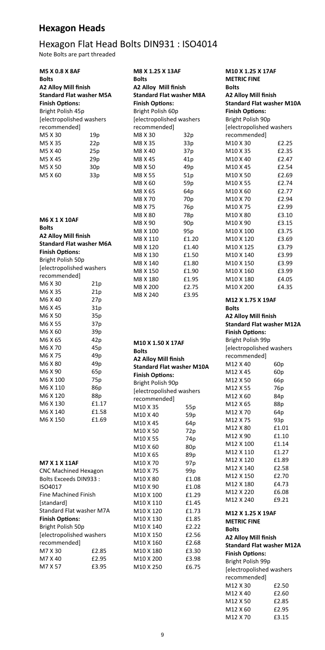| <b>M5 X 0.8 X 8AF</b>           |                 | M8 X 1.25 X 13AF                 |                 | M10 X 1.25 X 17AF                |                          |  |
|---------------------------------|-----------------|----------------------------------|-----------------|----------------------------------|--------------------------|--|
| <b>Bolts</b>                    |                 | <b>Bolts</b>                     |                 | <b>METRIC FINE</b>               |                          |  |
| <b>A2 Alloy Mill finish</b>     |                 | <b>A2 Alloy Mill finish</b>      |                 | <b>Bolts</b>                     |                          |  |
| <b>Standard Flat washer M5A</b> |                 | <b>Standard Flat washer M8A</b>  |                 | <b>A2 Alloy Mill finish</b>      |                          |  |
| <b>Finish Options:</b>          |                 | <b>Finish Options:</b>           |                 | <b>Standard Flat washer M10A</b> |                          |  |
| Bright Polish 45p               |                 | Bright Polish 60p                |                 | <b>Finish Options:</b>           |                          |  |
| [electropolished washers        |                 | [electropolished washers         |                 | Bright Polish 90p                |                          |  |
| recommended]                    |                 | recommended]                     |                 | [electropolished washers         |                          |  |
| M5 X 30                         | 19p             | M8 X 30                          | 32p             | recommended]                     |                          |  |
| M5 X 35                         | 22p             | M8 X 35                          | 33p             | M10 X 30                         | £2.25                    |  |
| M5 X 40                         | 25p             | M8 X 40                          | 37p             | M10 X 35                         | £2.35                    |  |
| M5 X 45                         | 29p             | M8 X 45                          | 41 <sub>p</sub> | M10 X 40                         | £2.47                    |  |
| M5 X 50                         | 30p             | M8 X 50                          | 49p             | M10 X 45                         | £2.54                    |  |
| M5 X 60                         | 33p             | M8 X 55                          | 51p             | M10 X 50                         | £2.69                    |  |
|                                 |                 | M8 X 60                          | 59p             | M10 X 55                         | £2.74                    |  |
|                                 |                 | M8 X 65                          | 64p             | M10 X 60                         | £2.77                    |  |
|                                 |                 | M8 X 70                          | 70 <sub>p</sub> | M10 X 70                         | £2.94                    |  |
|                                 |                 | M8 X 75                          | 76p             | M10 X 75                         | £2.99                    |  |
|                                 |                 | M8 X 80                          | 78p             | M10 X 80                         | £3.10                    |  |
| <b>M6 X 1 X 10AF</b>            |                 | M8 X 90                          | 90 <sub>p</sub> | M10 X 90                         | £3.15                    |  |
| <b>Bolts</b>                    |                 | M8 X 100                         | 95p             | M10 X 100                        | £3.75                    |  |
| <b>A2 Alloy Mill finish</b>     |                 | M8 X 110                         | £1.20           | M10 X 120                        | £3.69                    |  |
| <b>Standard Flat washer M6A</b> |                 | M8 X 120                         | £1.40           | M10 X 125                        | £3.79                    |  |
| <b>Finish Options:</b>          |                 | M8 X 130                         | £1.50           | M10 X 140                        | £3.99                    |  |
| Bright Polish 50p               |                 | M8 X 140                         | £1.80           | M10 X 150                        | £3.99                    |  |
| [electropolished washers        |                 | M8 X 150                         | £1.90           | M10 X 160                        | £3.99                    |  |
| recommended]                    |                 | M8 X 180                         | £1.95           | M10 X 180                        | £4.05                    |  |
| M6 X 30                         | 21p             | M8 X 200                         | £2.75           | M10 X 200                        | £4.35                    |  |
| M6 X 35                         | 21p             | M8 X 240                         | £3.95           |                                  |                          |  |
| M6 X 40                         | 27p             |                                  |                 | M12 X 1.75 X 19AF                |                          |  |
| M6 X 45                         | 31p             |                                  |                 | <b>Bolts</b>                     |                          |  |
| M6 X 50                         | 35p             |                                  |                 | <b>A2 Alloy Mill finish</b>      |                          |  |
| M6 X 55                         | 37p             |                                  |                 | <b>Standard Flat washer M12A</b> |                          |  |
| M6 X 60                         | 39p             |                                  |                 | <b>Finish Options:</b>           |                          |  |
| M6 X 65                         | 42p             | M10 X 1.50 X 17AF                |                 | Bright Polish 99p                |                          |  |
| M6 X 70                         | 45p             | <b>Bolts</b>                     |                 | [electropolished washers         |                          |  |
| M6 X 75                         | 49p             | <b>A2 Alloy Mill finish</b>      |                 | recommended]                     |                          |  |
| M6 X 80                         | 49 <sub>p</sub> | <b>Standard Flat washer M10A</b> |                 | M12 X 40                         | 60 <sub>p</sub>          |  |
| M6 X 90                         | 65p             | <b>Finish Options:</b>           |                 | M12 X 45                         | 60 <sub>p</sub>          |  |
| M6 X 100                        | 75p             | Bright Polish 90p                |                 | M12 X 50                         | 66p                      |  |
| M6 X 110                        | 86p             | [electropolished washers         |                 | M12 X 55                         | 76p                      |  |
| M6 X 120                        | 88p             | recommended]                     |                 | M12 X 60                         | 84p                      |  |
| M6 X 130                        | £1.17           | M10 X 35                         | 55p             | M12 X 65                         | 88p                      |  |
| M6 X 140                        | £1.58           | M10 X 40                         | 59p             | M12 X 70                         | 64p                      |  |
| M6 X 150                        | £1.69           | M10 X 45                         | 64p             | M12 X 75                         | 93p                      |  |
|                                 |                 | M10 X 50                         | 72p             | M12 X 80                         | £1.01                    |  |
|                                 |                 | M10 X 55                         | 74p             | M12 X 90                         | £1.10                    |  |
|                                 |                 | M10 X 60                         | 80p             | M12 X 100                        | £1.14                    |  |
|                                 |                 | M10 X 65                         | 89p             | M12 X 110                        | £1.27                    |  |
| <b>M7 X 1 X 11AF</b>            |                 | M10 X 70                         | 97p             | M12 X 120                        | £1.89                    |  |
| <b>CNC Machined Hexagon</b>     |                 | M10 X 75                         | 99 <sub>p</sub> | M12 X 140                        | £2.58                    |  |
| <b>Bolts Exceeds DIN933:</b>    |                 | M10 X 80                         | £1.08           | M12 X 150                        | £2.70                    |  |
| ISO4017                         |                 | M10 X 90                         | £1.08           | M12 X 180                        | £4.73                    |  |
| <b>Fine Machined Finish</b>     |                 | M10 X 100                        | £1.29           | M12 X 220                        | £6.08                    |  |
| [standard]                      |                 | M10 X 110                        | £1.45           | M12 X 240                        | £9.21                    |  |
| <b>Standard Flat washer M7A</b> |                 | M10 X 120                        | £1.73           | M12 X 1.25 X 19AF                |                          |  |
| <b>Finish Options:</b>          |                 | M10 X 130                        | £1.85           | <b>METRIC FINE</b>               |                          |  |
| Bright Polish 50p               |                 | M10 X 140                        | £2.22           | <b>Bolts</b>                     |                          |  |
| [electropolished washers        |                 | M10 X 150                        | £2.56           | <b>A2 Alloy Mill finish</b>      |                          |  |
| recommended]                    |                 | M10 X 160                        | £2.68           | <b>Standard Flat washer M12A</b> |                          |  |
| M7 X 30                         | £2.85           | M10 X 180                        | £3.30           | <b>Finish Options:</b>           |                          |  |
| M7 X 40                         | £2.95           | M10 X 200                        | £3.98           | Bright Polish 99p                |                          |  |
| M7 X 57                         | £3.95           | M10 X 250                        | £6.75           |                                  | [electropolished washers |  |
|                                 |                 |                                  |                 | recommended]                     |                          |  |
|                                 |                 |                                  |                 | M12 X 30                         | £2.50                    |  |
|                                 |                 |                                  |                 | M12 X 40                         | £2.60                    |  |
|                                 |                 |                                  |                 | M12 X 50                         | £2.85                    |  |
|                                 |                 |                                  |                 | M12 X 60                         | £2.95                    |  |
|                                 |                 |                                  |                 | M12 X 70                         | £3.15                    |  |
|                                 |                 |                                  |                 |                                  |                          |  |

| <b>Fine Machined Finish</b> |       | M10 X 100 | £1.29 |
|-----------------------------|-------|-----------|-------|
| [standard]                  |       | M10 X 110 | £1.4  |
| Standard Flat washer M7A    |       | M10 X 120 | £1.73 |
| <b>Finish Options:</b>      |       | M10 X 130 | £1.8  |
| Bright Polish 50p           |       | M10 X 140 | £2.22 |
| [electropolished washers    |       | M10 X 150 | £2.56 |
| recommended]                |       | M10 X 160 | £2.68 |
| M7 X 30                     | £2.85 | M10 X 180 | £3.30 |
| M7 X 40                     | £2.95 | M10 X 200 | £3.98 |
| M7 X 57                     | £3.95 | M10 X 250 | £6.7  |
|                             |       |           |       |

## Hexagon Flat Head Bolts DIN931 : ISO4014

Note Bolts are part threaded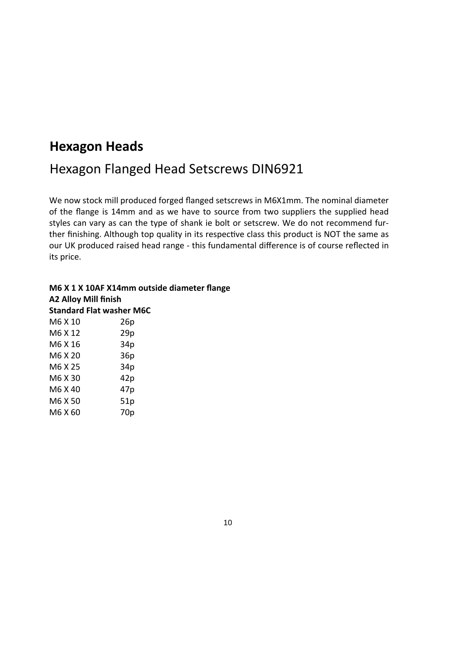M6 X 60 70p

#### Hexagon Flanged Head Setscrews DIN6921

We now stock mill produced forged flanged setscrews in M6X1mm. The nominal diameter of the flange is 14mm and as we have to source from two suppliers the supplied head styles can vary as can the type of shank ie bolt or setscrew. We do not recommend further finishing. Although top quality in its respective class this product is NOT the same as our UK produced raised head range - this fundamental difference is of course reflected in its price.

#### **M6 X 1 X 10AF X14mm outside diameter flange A2 Alloy Mill finish Standard Flat washer M6C**  M6 X 10 26p M6 X 12 29p M6 X 16 34p M6 X 20 36p M6 X 25 34p M6 X 30 42p M6 X 40 47p M6 X 50 51p

10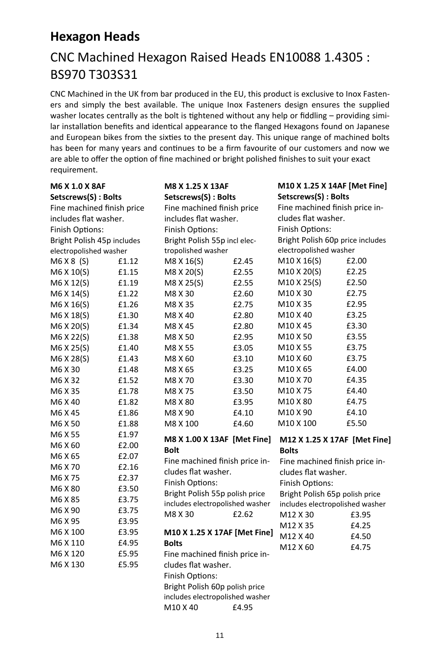### CNC Machined Hexagon Raised Heads EN10088 1.4305 : BS970 T303S31

CNC Machined in the UK from bar produced in the EU, this product is exclusive to Inox Fasteners and simply the best available. The unique Inox Fasteners design ensures the supplied washer locates centrally as the bolt is tightened without any help or fiddling – providing similar installation benefits and identical appearance to the flanged Hexagons found on Japanese and European bikes from the sixties to the present day. This unique range of machined bolts has been for many years and continues to be a firm favourite of our customers and now we are able to offer the option of fine machined or bright polished finishes to suit your exact requirement.

| <b>M6 X 1.0 X 8AF</b>                                    |                                 | M8 X 1.25 X 13AF                |       | M10 X 1.25 X 14AF [Met Fine]                          |       |
|----------------------------------------------------------|---------------------------------|---------------------------------|-------|-------------------------------------------------------|-------|
| Setscrews(S): Bolts<br>Setscrews(S): Bolts               |                                 | Setscrews(S): Bolts             |       |                                                       |       |
| Fine machined finish price<br>Fine machined finish price |                                 | Fine machined finish price in-  |       |                                                       |       |
| includes flat washer.                                    |                                 | includes flat washer.           |       | cludes flat washer.                                   |       |
| Finish Options:                                          |                                 | Finish Options:                 |       | <b>Finish Options:</b>                                |       |
| Bright Polish 45p includes                               |                                 | Bright Polish 55p incl elec-    |       | Bright Polish 60p price includes                      |       |
| electropolished washer                                   |                                 | tropolished washer              |       | electropolished washer                                |       |
| M6 X 8 (S)                                               | £1.12                           | M8 X 16(S)                      | £2.45 | M10 X 16(S)                                           | £2.00 |
| M6 X 10(S)                                               | £1.15                           | M8 X 20(S)                      | £2.55 | M10 X 20(S)                                           | £2.25 |
| M6 X 12(S)                                               | £1.19                           | M8 X 25(S)                      | £2.55 | M10 X 25(S)                                           | £2.50 |
| M6 X 14(S)                                               | £1.22                           | M8 X 30                         | £2.60 | M10 X 30                                              | £2.75 |
| M6 X 16(S)                                               | £1.26                           | M8 X 35                         | £2.75 | M10 X 35                                              | £2.95 |
| M6 X 18(S)                                               | £1.30                           | M8 X 40                         | £2.80 | M10 X 40                                              | £3.25 |
| M6 X 20(S)                                               | £1.34                           | M8 X 45                         | £2.80 | M10 X 45                                              | £3.30 |
| M6 X 22(S)                                               | £1.38                           | M8 X 50                         | £2.95 | M10 X 50                                              | £3.55 |
| M6 X 25(S)                                               | £1.40                           | M8 X 55                         | £3.05 | M10 X 55                                              | £3.75 |
| M6 X 28(S)                                               | £1.43                           | M8 X 60                         | £3.10 | M10 X 60                                              | £3.75 |
| M6 X 30                                                  | £1.48                           | M8 X 65                         | £3.25 | M10 X 65                                              | £4.00 |
| M6 X 32                                                  | £1.52                           | M8 X 70                         | £3.30 | M10 X 70                                              | £4.35 |
| M6 X 35                                                  | £1.78                           | M8 X 75                         | £3.50 | M10 X 75                                              | £4.40 |
| M6 X 40                                                  | £1.82                           | M8 X 80                         | £3.95 | M10 X 80                                              | £4.75 |
| M6 X 45                                                  | £1.86                           | M8 X 90                         | £4.10 | M10 X 90                                              | £4.10 |
| M6 X 50                                                  | £1.88                           | M8 X 100                        | £4.60 | M10 X 100                                             | £5.50 |
| M6 X 55                                                  | £1.97                           | M8 X 1.00 X 13AF [Met Fine]     |       | M12 X 1.25 X 17AF [Met Fine]                          |       |
| M6 X 60                                                  | £2.00                           | <b>Bolt</b>                     |       | <b>Bolts</b>                                          |       |
| M6 X 65                                                  | £2.07                           | Fine machined finish price in-  |       |                                                       |       |
| M6 X 70                                                  | £2.16                           | cludes flat washer.             |       | Fine machined finish price in-<br>cludes flat washer. |       |
| M6 X 75                                                  | £2.37                           | <b>Finish Options:</b>          |       | Finish Options:                                       |       |
| M6 X 80                                                  | £3.50                           | Bright Polish 55p polish price  |       | Bright Polish 65p polish price                        |       |
| M6 X 85                                                  | £3.75                           | includes electropolished washer |       | includes electropolished washer                       |       |
| M6 X 90                                                  | £3.75                           | M8 X 30 £2.62                   |       | M12 X 30 £3.95                                        |       |
| M6 X 95                                                  | £3.95                           |                                 |       | M12 X 35                                              | £4.25 |
| M6 X 100                                                 | £3.95                           | M10 X 1.25 X 17AF [Met Fine]    |       | M12 X 40                                              | £4.50 |
| M6 X 110                                                 | £4.95                           | <b>Bolts</b>                    |       | M12 X 60                                              | £4.75 |
| M6 X 120                                                 | £5.95                           | Fine machined finish price in-  |       |                                                       |       |
| M6 X 130                                                 | £5.95                           | cludes flat washer.             |       |                                                       |       |
|                                                          |                                 | Finish Options:                 |       |                                                       |       |
|                                                          |                                 | Bright Polish 60p polish price  |       |                                                       |       |
|                                                          | includes electropolished washer |                                 |       |                                                       |       |
|                                                          |                                 | M10 X 40                        | £4.95 |                                                       |       |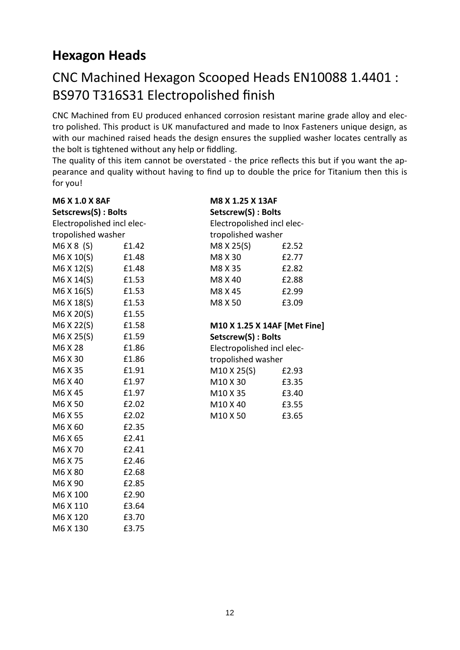### CNC Machined Hexagon Scooped Heads EN10088 1.4401 : BS970 T316S31 Electropolished finish

CNC Machined from EU produced enhanced corrosion resistant marine grade alloy and electro polished. This product is UK manufactured and made to Inox Fasteners unique design, as with our machined raised heads the design ensures the supplied washer locates centrally as the bolt is tightened without any help or fiddling.

The quality of this item cannot be overstated - the price reflects this but if you want the appearance and quality without having to find up to double the price for Titanium then this is for you!

| M6 X 1.0 X 8AF             |       | M8 X 1.25 X 13AF             |       |  |
|----------------------------|-------|------------------------------|-------|--|
| Setscrews(S): Bolts        |       | Setscrew(S): Bolts           |       |  |
| Electropolished incl elec- |       | Electropolished incl elec-   |       |  |
| tropolished washer         |       | tropolished washer           |       |  |
| M6X8(S)                    | £1.42 | M8 X 25(S)                   | £2.52 |  |
| M6 X 10(S)                 | £1.48 | M8 X 30                      | £2.77 |  |
| M6 X 12(S)                 | £1.48 | M8 X 35                      | £2.82 |  |
| M6 X 14(S)                 | £1.53 | M8 X 40                      | £2.88 |  |
| M6 X 16(S)                 | £1.53 | M8 X 45                      | £2.99 |  |
| M6 X 18(S)                 | £1.53 | M8 X 50                      | £3.09 |  |
| M6 X 20(S)                 | £1.55 |                              |       |  |
| M6 X 22(S)                 | £1.58 | M10 X 1.25 X 14AF [Met Fine] |       |  |
| M6 X 25(S)                 | £1.59 | Setscrew(S): Bolts           |       |  |
| M6 X 28                    | £1.86 | Electropolished incl elec-   |       |  |
| M6 X 30                    | £1.86 | tropolished washer           |       |  |
| M6 X 35                    | £1.91 | M10 X 25(S)                  | £2.93 |  |
| M6 X 40                    | £1.97 | M10 X 30                     | £3.35 |  |
| M6 X 45                    | £1.97 | M10 X 35                     | £3.40 |  |
| M6 X 50                    | £2.02 | M10 X 40                     | £3.55 |  |
| M6 X 55                    | £2.02 | M10 X 50                     | £3.65 |  |
| M6 X 60                    | £2.35 |                              |       |  |
| M6 X 65                    | £2.41 |                              |       |  |
| M6 X 70                    | £2.41 |                              |       |  |
| M6 X 75                    | £2.46 |                              |       |  |
| M6 X 80                    | £2.68 |                              |       |  |
| M6 X 90                    | £2.85 |                              |       |  |
| M6 X 100                   | £2.90 |                              |       |  |
| M6 X 110                   | £3.64 |                              |       |  |
| M6 X 120                   | £3.70 |                              |       |  |
| M6 X 130                   | £3.75 |                              |       |  |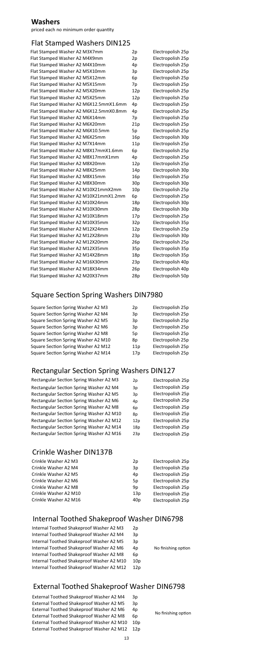13

No finishing option

### **Washers**

priced each no minimum order quantity

### Flat Stamped Washers DIN125

| Flat Stamped Washer A2 M3X7mm          | 2p  | Electropolish 25p |
|----------------------------------------|-----|-------------------|
| Flat Stamped Washer A2 M4X9mm          | 2p  | Electropolish 25p |
| Flat Stamped Washer A2 M4X10mm         | 4p  | Electropolish 25p |
| Flat Stamped Washer A2 M5X10mm         | 3p  | Electropolish 25p |
| Flat Stamped Washer A2 M5X12mm         | 6p  | Electropolish 25p |
| Flat Stamped Washer A2 M5X15mm         | 7p  | Electropolish 25p |
| Flat Stamped Washer A2 M5X20mm         | 12p | Electropolish 25p |
| Flat Stamped Washer A2 M5X25mm         | 12p | Electropolish 25p |
| Flat Stamped Washer A2 M6X12.5mmX1.6mm | 4p  | Electropolish 25p |
| Flat Stamped Washer A2 M6X12.5mmX0.8mm | 4p  | Electropolish 25p |
| Flat Stamped Washer A2 M6X14mm         | 7p  | Electropolish 25p |
| Flat Stamped Washer A2 M6X20mm         | 21p | Electropolish 25p |
| Flat Stamped Washer A2 M6X10.5mm       | 5p  | Electropolish 25p |
| Flat Stamped Washer A2 M6X25mm         | 16p | Electropolish 30p |
| Flat Stamped Washer A2 M7X14mm         | 11p | Electropolish 25p |
| Flat Stamped Washer A2 M8X17mmX1.6mm   | 6p  | Electropolish 25p |
| Flat Stamped Washer A2 M8X17mmX1mm     | 4p  | Electropolish 25p |
| Flat Stamped Washer A2 M8X20mm         | 12p | Electropolish 25p |
| Flat Stamped Washer A2 M8X25mm         | 14p | Electropolish 30p |
| Flat Stamped Washer A2 M8X15mm         | 16p | Electropolish 25p |
| Flat Stamped Washer A2 M8X30mm         | 30p | Electropolish 30p |
| Flat Stamped Washer A2 M10X21mmX2mm    | 10p | Electropolish 25p |
| Flat Stamped Washer A2 M10X21mmX1.2mm  | 6p  | Electropolish 25p |
| Flat Stamped Washer A2 M10X24mm        | 18p | Electropolish 30p |
| Flat Stamped Washer A2 M10X30mm        | 28p | Electropolish 30p |
| Flat Stamped Washer A2 M10X18mm        | 17p | Electropolish 25p |
| Flat Stamped Washer A2 M10X35mm        | 32p | Electropolish 35p |
| Flat Stamped Washer A2 M12X24mm        | 12p | Electropolish 25p |
| Flat Stamped Washer A2 M12X28mm        | 23p | Electropolish 30p |
| Flat Stamped Washer A2 M12X20mm        | 26p | Electropolish 25p |
| Flat Stamped Washer A2 M12X35mm        | 35p | Electropolish 35p |
| Flat Stamped Washer A2 M14X28mm        | 18p | Electropolish 35p |
| Flat Stamped Washer A2 M16X30mm        | 23p | Electropolish 40p |
| Flat Stamped Washer A2 M18X34mm        | 26p | Electropolish 40p |
| Flat Stamped Washer A2 M20X37mm        | 28p | Electropolish 50p |

### Square Section Spring Washers DIN7980

| Square Section Spring Washer A2 M3        | 2p  | Electropolish 25p |
|-------------------------------------------|-----|-------------------|
| Square Section Spring Washer A2 M4        | 3p  | Electropolish 25p |
| <b>Square Section Spring Washer A2 M5</b> | 3p  | Electropolish 25p |
| Square Section Spring Washer A2 M6        | 3p  | Electropolish 25p |
| Square Section Spring Washer A2 M8        | 5p  | Electropolish 25p |
| Square Section Spring Washer A2 M10       | 8p  | Electropolish 25p |
| Square Section Spring Washer A2 M12       | 11p | Electropolish 25p |
| Square Section Spring Washer A2 M14       | 17p | Electropolish 25p |
|                                           |     |                   |

### Rectangular Section Spring Washers DIN127

| Rectangular Section Spring Washer A2 M3 |  | Electropolish 25p |
|-----------------------------------------|--|-------------------|
|-----------------------------------------|--|-------------------|

#### Rectangular Section Spring Washer A2 M4 3p Rectangular Section Spring Washer A2 M5 3p Rectangular Section Spring Washer A2 M6 4p Rectangular Section Spring Washer A2 M8 6p Rectangular Section Spring Washer A2 M10 8p Rectangular Section Spring Washer A2 M12 12p Rectangular Section Spring Washer A2 M14 18p Rectangular Section Spring Washer A2 M16 23p

Electropolish 25p Electropolish 25p Electropolish 25p Electropolish 25p Electropolish 25p Electropolish 25p Electropolish 25p Electropolish 25p

### Crinkle Washer DIN137B

| Crinkle Washer A2 M3  | 2p  | Electropolish 25p |
|-----------------------|-----|-------------------|
| Crinkle Washer A2 M4  | 3p  | Electropolish 25p |
| Crinkle Washer A2 M5  | 4p  | Electropolish 25p |
| Crinkle Washer A2 M6  | 5p  | Electropolish 25p |
| Crinkle Washer A2 M8  | 9p  | Electropolish 25p |
| Crinkle Washer A2 M10 | 13p | Electropolish 25p |
| Crinkle Washer A2 M16 | 40p | Electropolish 25p |

#### Internal Toothed Shakeproof Washer DIN6798

| Internal Toothed Shakeproof Washer A2 M3  | 2p              |                     |
|-------------------------------------------|-----------------|---------------------|
| Internal Toothed Shakeproof Washer A2 M4  | 3p              |                     |
| Internal Toothed Shakeproof Washer A2 M5  | 3p              |                     |
| Internal Toothed Shakeproof Washer A2 M6  | 4p              | No finishing option |
| Internal Toothed Shakeproof Washer A2 M8  | 6p              |                     |
| Internal Toothed Shakeproof Washer A2 M10 | 10 <sub>p</sub> |                     |
| Internal Toothed Shakeproof Washer A2 M12 | 12p             |                     |

#### External Toothed Shakeproof Washer DIN6798

| External Toothed Shakeproof Washer A2 M4  | 3p              |
|-------------------------------------------|-----------------|
| External Toothed Shakeproof Washer A2 M5  | 3p              |
| External Toothed Shakeproof Washer A2 M6  | 4p              |
| External Toothed Shakeproof Washer A2 M8  | 6p              |
| External Toothed Shakeproof Washer A2 M10 | 10 <sub>p</sub> |
| External Toothed Shakeproof Washer A2 M12 | 12p             |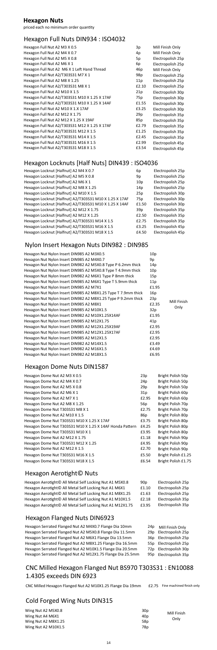#### Hexagon Full Nuts DIN934 : ISO4032

### **Hexagon Nuts**

priced each no minimum order quantity

### Hexagon Locknuts [Half Nuts] DIN439 : ISO4036

| Hexagon Locknut [Halfnut] A2 M4 X 0.7                  | 6p              | Electropolish 25p |
|--------------------------------------------------------|-----------------|-------------------|
| Hexagon Locknut [Halfnut] A2 M5 X 0.8                  | 9p              | Electropolish 25p |
| Hexagon Locknut [Halfnut] A2 M6 X 1                    | 10 <sub>p</sub> | Electropolish 25p |
| Hexagon Locknut [Halfnut] A2 M8 X 1.25                 | 14p             | Electropolish 25p |
| Hexagon Locknut [Halfnut] A2 M10 X 1.5                 | 25p             | Electropolish 30p |
| Hexagon Locknut [Halfnut] A2/T303S31 M10 X 1.25 X 17AF | 75 <sub>p</sub> | Electropolish 30p |
| Hexagon Locknut [Halfnut] A2/T303S31 M10 X 1.25 X 14AF | £1.50           | Electropolish 30p |
| Hexagon Locknut [Halfnut] A2 M12 X 1.75                | 39p             | Electropolish 35p |
| Hexagon Locknut [Halfnut] A2 M12 X 1.25                | £2.50           | Electropolish 35p |
| Hexagon Locknut [Halfnut] A2/T303S31 M14 X 1.5         | £2.75           | Electropolish 35p |
| Hexagon Locknut [Halfnut] A2/T303S31 M16 X 1.5         | £3.25           | Electropolish 45p |
| Hexagon Locknut [Halfnut] A2/T303S31 M18 X 1.5         | £4.50           | Electropolish 45p |

### Nylon Insert Hexagon Nuts DIN982 : DIN985

| Hexagon Nut Nylon Insert DIN985 A2 M3X0.5                     | 10p             |                     |
|---------------------------------------------------------------|-----------------|---------------------|
| Hexagon Nut Nylon Insert DIN985 A2 M4X0.7                     | 9p              |                     |
| Hexagon Nut Nylon Insert DIN982 A2 M5X0.8 Type P 6.2mm thick  | 14p             |                     |
| Hexagon Nut Nylon Insert DIN985 A2 M5X0.8 Type T 4.9mm thick  | 10 <sub>p</sub> |                     |
| Hexagon Nut Nylon Insert DIN982 A2 M6X1 Type P 8mm thick      | 15p             |                     |
| Hexagon Nut Nylon Insert DIN985 A2 M6X1 Type T 5.9mm thick    | 11p             |                     |
| Hexagon Nut Nylon Insert DIN985 A2 M7X1                       | £1.95           |                     |
| Hexagon Nut Nylon Insert DIN985 A2 M8X1.25 Type T 7.9mm thick | 16p             |                     |
| Hexagon Nut Nylon Insert DIN982 A2 M8X1.25 Type P 9.2mm thick | 23p             |                     |
| Hexagon Nut Nylon Insert DIN985 A2 M8X1                       | £2.35           | Mill Finish<br>Only |
| Hexagon Nut Nylon Insert DIN985 A2 M10X1.5                    | 32p             |                     |
| Hexagon Nut Nylon Insert DIN982 A2 M10X1.25X14AF              | £1.95           |                     |
| Hexagon Nut Nylon Insert DIN985 A2 M12X1.75                   | 41p             |                     |
| Hexagon Nut Nylon Insert DIN985 A2 M12X1.25X19AF              | £2.95           |                     |
| Hexagon Nut Nylon Insert DIN985 A2 M12X1.25X17AF              | £2.95           |                     |
| Hexagon Nut Nylon Insert DIN985 A2 M12X1.5                    | £2.95           |                     |
| Hexagon Nut Nylon Insert DIN982 A2 M14X1.5                    | £3.49           |                     |
| Hexagon Nut Nylon Insert DIN982 A2 M16X1.5                    | £4.69           |                     |
| Hexagon Nut Nylon Insert DIN982 A2 M18X1.5                    | £6.95           |                     |

#### Hexagon Dome Nuts DIN1587

| Hexagon Dome Nut A2 M3 X 0.5                             | 23p   | Bright Polish 50p   |
|----------------------------------------------------------|-------|---------------------|
| Hexagon Dome Nut A2 M4 X 0.7                             | 24p   | Bright Polish 50p   |
| Hexagon Dome Nut A2 M5 X 0.8                             | 29p   | Bright Polish 50p   |
| Hexagon Dome Nut A2 M6 X 1                               | 31p   | Bright Polish 60p   |
| Hexagon Dome Nut A2 M7 X 1                               | £2.95 | Bright Polish 60p   |
| Hexagon Dome Nut A2 M8 X 1.25                            | 56p   | Bright Polish 70p   |
| Hexagon Dome Nut T303S31 M8 X 1                          | £2.75 | Bright Polish 70p   |
| Hexagon Dome Nut A2 M10 X 1.5                            | 86p   | Bright Polish 80p   |
| Hexagon Dome Nut T303S31 M10 X 1.25 X 17AF               | £3.75 | Bright Polish 80p   |
| Hexagon Dome Nut T303S31 M10 X 1.25 X 14AF Honda Pattern | £4.25 | Bright Polish 80p   |
| Hexagon Dome Nut T303S31 M10 X 1                         | £3.95 | Bright Polish 80p   |
| Hexagon Dome Nut A2 M12 X 1.75                           | £1.18 | Bright Polish 90p   |
| Hexagon Dome Nut T303S31 M12 X 1.25                      | £4.95 | Bright Polish 90p   |
| Hexagon Dome Nut A2 M12 X 1.5                            | £2.70 | Bright Polish 90p   |
| Hexagon Dome Nut T303S31 M16 X 1.5                       | £5.50 | Bright Polish £1.25 |
| Hexagon Dome Nut T303S31 M18 X 1.5                       | £6.54 | Bright Polish £1.75 |

### Hexagon Aerotight© Nuts

| Hexagon Aerotight© All Metal Self Locking Nut A1 M5X0.8   | 90 <sub>p</sub> | Electropolish 25p |
|-----------------------------------------------------------|-----------------|-------------------|
| Hexagon Aerotight© All Metal Self Locking Nut A1 M6X1     | £1.10           | Electropolish 25p |
| Hexagon Aerotight© All Metal Self Locking Nut A1 M8X1.25  | £1.63           | Electropolish 25p |
| Hexagon Aerotight© All Metal Self Locking Nut A1 M10X1.5  | £2.18           | Electropolish 35p |
| Hexagon Aerotight© All Metal Self Locking Nut A1 M12X1.75 | £3.95           | Electropolish 35p |

### Hexagon Flanged Nuts DIN6923

Hexagon Serrated Flanged Nut A2 M4X0.7 Flange Dia 10mm Hexagon Serrated Flanged Nut A2 M5X0.8 Flange Dia 11.5mm Hexagon Serrated Flanged Nut A2 M6X1 Flange Dia 13.5mm Hexagon Serrated Flanged Nut A2 M8X1.25 Flange Dia 16.5mm Hexagon Serrated Flanged Nut A2 M10X1.5 Flange Dia 20.5mm Hexagon Serrated Flanged Nut A2 M12X1.75 Flange Dia 25.5mm

| 24p | Mill Finish Only  |
|-----|-------------------|
| 29p | Electropolish 25p |
| 36p | Electropolish 25p |
| 55p | Electropolish 25p |
| 72p | Electropolish 30p |
| 95p | Electropolish 35p |

### Cold Forged Wing Nuts DIN315

| Wing Nut A2 M5X0.8  | 30 <sub>p</sub> |                     |
|---------------------|-----------------|---------------------|
| Wing Nut A4 M6X1    | 40p             | Mill Finish<br>Only |
| Wing Nut A2 M8X1.25 | 58 <sub>p</sub> |                     |
| Wing Nut A2 M10X1.5 | 78p             |                     |

| Hexagon Full Nut A2 M3 X 0.5                  | 3p    | Mill Finish Only  |
|-----------------------------------------------|-------|-------------------|
| Hexagon Full Nut A2 M4 X 0.7                  | 4p    | Mill Finish Only  |
| Hexagon Full Nut A2 M5 X 0.8                  | 5p    | Electropolish 25p |
| Hexagon Full Nut A2 M6 X 1                    | 6p    | Electropolish 25p |
| Hexagon Full Nut A2 M6 X 1 Left Hand Thread   | 46p   | Mill Finish Only  |
| Hexagon Full Nut A2/T303S31 M7 X 1            | 98p   | Electropolish 25p |
| Hexagon Full Nut A2 M8 X 1.25                 | 11p   | Electropolish 25p |
| Hexagon Full Nut A2/T303S31 M8 X 1            | £2.10 | Electropolish 25p |
| Hexagon Full Nut A2 M10 X 1.5                 | 21p   | Electropolish 30p |
| Hexagon Full Nut A2/T303S31 M10 X 1.25 X 17AF | 75p   | Electropolish 30p |
| Hexagon Full Nut A2/T303S31 M10 X 1.25 X 14AF | £1.55 | Electropolish 30p |
| Hexagon Full Nut A2 M10 X 1.X 17AF            | £3.25 | Electropolish 30p |
| Hexagon Full Nut A2 M12 X 1.75                | 29p   | Electropolish 35p |
| Hexagon Full Nut A2 M12 X 1.25 X 19AF         | 85p   | Electropolish 35p |
| Hexagon Full Nut A2/T303S31 M12 X 1.25 X 17AF | £2.79 | Electropolish 35p |
| Hexagon Full Nut A2/T303S31 M12 X 1.5         | £1.25 | Electropolish 35p |
| Hexagon Full Nut A2/T303S31 M14 X 1.5         | £2.45 | Electropolish 35p |
| Hexagon Full Nut A2/T303S31 M16 X 1.5         | £2.99 | Electropolish 45p |
| Hexagon Full Nut A2/T303S31 M18 X 1.5         | £3.54 | Electropolish 45p |

### CNC Milled Hexagon Flanged Nut BS970 T303S31 : EN10088 1.4305 exceeds DIN 6923

CNC Milled Hexagon Flanged Nut A2 M10X1.25 Flange Dia 19mm £2.75 Fine machined finish only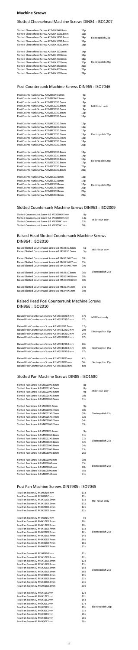15

### **Machine Screws**

### Slotted Cheesehead Machine Screws DIN84 : ISO1207

| Slotted Cheesehead Screw A2 M5X8X0.8mm<br>Slotted Cheesehead Screw A2 M5X10X0.8mm<br>Slotted Cheesehead Screw A2 M5X12X0.8mm<br>Slotted Cheesehead Screw A2 M5X16X0.8mm<br>Slotted Cheesehead Screw A2 M5X25X0.8mm                                                                          | 12p<br>12p<br>14p<br>16p<br>18p                           | Electropolish 25p |
|---------------------------------------------------------------------------------------------------------------------------------------------------------------------------------------------------------------------------------------------------------------------------------------------|-----------------------------------------------------------|-------------------|
| Slotted Cheesehead Screw A2 M6X12X1mm<br>Slotted Cheesehead Screw A2 M6X16X1mm<br>Slotted Cheesehead Screw A2 M6X20X1mm<br>Slotted Cheesehead Screw A2 M6X30X1mm<br>Slotted Cheesehead Screw A2 M6X35X1mm<br>Slotted Cheesehead Screw A2 M6X40X1mm<br>Slotted Cheesehead Screw A2 M6X50X1mm | 14p<br>16p<br>18p<br>20 <sub>p</sub><br>22p<br>23p<br>28p | Electropolish 25p |

### Posi Countersunk Machine Screws DIN965 : ISO7046

## Raised Head Slotted Countersunk Machine Screws DIN964 : ISO2010

| Posi Countersunk Screw A2 M3X6X0.5mm  | 5p  |                   |
|---------------------------------------|-----|-------------------|
| Posi Countersunk Screw A2 M3X8X0.5mm  | 5p  |                   |
| Posi Countersunk Screw A2 M3X10X0.5mm | 8p  |                   |
| Posi Countersunk Screw A2 M3X12X0.5mm | 9p  | Mill finish only  |
| Posi Countersunk Screw A2 M3X16X0.5mm | 9p  |                   |
| Posi Countersunk Screw A2 M3X20X0.5mm | 11p |                   |
| Posi Countersunk Screw A2 M3X25X0.5mm | 12p |                   |
| Posi Countersunk Screw A2 M4X10X0.7mm | 12p |                   |
| Posi Countersunk Screw A2 M4X12X0.7mm | 12p |                   |
| Posi Countersunk Screw A2 M4X16X0.7mm | 12p |                   |
| Posi Countersunk Screw A2 M4X20X0.7mm | 13p | Electropolish 25p |
| Posi Countersunk Screw A2 M4X20X0.7mm | 15p |                   |
| Posi Countersunk Screw A2 M4X30X0.7mm | 18p |                   |
| Posi Countersunk Screw A2 M4X40X0.7mm | 22p |                   |
| Posi Countersunk Screw A2 M5X10X0.8mm | 12p |                   |
| Posi Countersunk Screw A2 M5X12X0.8mm | 14p |                   |
| Posi Countersunk Screw A2 M5X16X0.8mm | 15p | Electropolish 25p |
| Posi Countersunk Screw A2 M5X20X0.8mm | 17p |                   |
| Posi Countersunk Screw A2 M5X25X0.8mm | 21p |                   |
| Posi Countersunk Screw A2 M5X30X0.8mm | 23p |                   |
| Posi Countersunk Screw A2 M6X10X1mm   | 16p |                   |
| Posi Countersunk Screw A2 M6X12X1mm   | 17p |                   |
| Posi Countersunk Screw A2 M6X16X1mm   | 17p | Electropolish 25p |
| Posi Countersunk Screw A2 M6X25X1mm   | 22p |                   |
| Posi Countersunk Screw A2 M6X35X1mm   | 25p |                   |
| Posi Countersunk Screw A2 M6X40X1mm   | 29p |                   |

### Slotted Countersunk Machine Screws DIN963 : ISO2009

| Slotted Countersunk Screw A2 M3X10X0.5mm | 8p              |                  |
|------------------------------------------|-----------------|------------------|
| Slotted Countersunk Screw A2 M3X30X0.5mm | 14p             | Mill Finish only |
| Slotted Countersunk Screw A2 M6X30X1mm   | 23p             |                  |
| Slotted Countersunk Screw A2 M6X55X1mm   | 50 <sub>D</sub> |                  |

### Raised Head Posi Countersunk Machine Screws DIN966 : ISO2010

| Slotted Pan Screw A2 M3X10X0.5mm | 8p              |                   |
|----------------------------------|-----------------|-------------------|
| Slotted Pan Screw A2 M3X12X0.5mm | 8p              |                   |
| Slotted Pan Screw A2 M3X20X0.5mm | 9p              | Mill Finish only  |
| Slotted Pan Screw A2 M3X25X0.5mm | 10p             |                   |
| Slotted Pan Screw A2 M3X30X0.5mm | 11p             |                   |
| Slotted Pan Screw A2 M4X6X0.7mm  | 9p              |                   |
| Slotted Pan Screw A2 M4X10X0.7mm | 10p             |                   |
| Slotted Pan Screw A2 M4X12X0.7mm | 10p             | Electropolish 25p |
| Slotted Pan Screw A2 M4X25X0.7mm | 12p             |                   |
| Slotted Pan Screw A2 M4X30X0.7mm | 14p             |                   |
| Slotted Pan Screw A2 M4X50X0.7mm | 19p             |                   |
| Slotted Pan Screw A2 M5X8X0.8mm  | 9p              |                   |
| Slotted Pan Screw A2 M5X10X0.8mm | 11p             |                   |
| Slotted Pan Screw A2 M5X12X0.8mm | 11p             |                   |
| Slotted Pan Screw A4 M5X16X0.8mm | 12p             | Electropolish 25p |
| Slotted Pan Screw A2 M5X20X0.8mm | 14p             |                   |
| Slotted Pan Screw A2 M5X50X0.8mm | 23p             |                   |
| Slotted Pan Screw A2 M5X60X0.8mm | 26p             |                   |
| Slotted Pan Screw A2 M6X10X1mm   | 10 <sub>p</sub> |                   |
| Slotted Pan Screw A2 M6X16X1mm   | 15p             |                   |
| Slotted Pan Screw A2 M6X30X1mm   | 20p             | Electropolish 25p |
| Slotted Pan Screw A2 M6X50X1mm   | 35p             |                   |
| Slotted Pan Screw A2 M6X55X1mm   | 41 <sub>p</sub> |                   |

| Raised Slotted Countersunk Screw A2 M3X6X0.5mm  | 5p              | Mill Finish only  |
|-------------------------------------------------|-----------------|-------------------|
| Raised Slotted Countersunk Screw A2 M3X8X0.5mm  | 5p              |                   |
| Raised Slotted Countersunk Screw A2 M4X12X0.7mm | 10 <sub>p</sub> |                   |
| Raised Slotted Countersunk Screw A2 M4X25X0.7mm | 15p             |                   |
| Raised Slotted Countersunk Screw A2 M4X30X0.7mm | 19 <sub>p</sub> |                   |
| Raised Slotted Countersunk Screw A2 M5X8X0.8mm  | 16p             | Electropolish 25p |
| Raised Slotted Countersunk Screw A2 M5X25X0.8mm | 28p             |                   |
| Raised Slotted Countersunk Screw A2 M5X30X0.8mm | 30p             |                   |
| Raised Slotted Countersunk Screw A2 M6X12X1mm   | 14p             |                   |
| Raised Slotted Countersunk Screw A2 M6X40X1mm   | 70 <sub>p</sub> |                   |
|                                                 |                 |                   |

| Raised Posi Countersunk Screw A2 M3X20X0.5mm | 37p | Mill Finish only  |
|----------------------------------------------|-----|-------------------|
| Raised Posi Countersunk Screw A2 M3X25X0.5mm | 37p |                   |
| Raised Posi Countersunk Screw A2 M4X8X0.7mm  | 12p |                   |
| Raised Posi Countersunk Screw A2 M4X12X0.7mm | 20p | Electropolish 25p |
| Raised Posi Countersunk Screw A2 M4X16X0.7mm | 24p |                   |
| Raised Posi Countersunk Screw A2 M4X30X0.7mm | 37p |                   |
| Raised Posi Countersunk Screw A2 M5X12X0.8mm | 26p |                   |
| Raised Posi Countersunk Screw A2 M5X16X0.8mm | 30p | Electropolish 25p |
| Raised Posi Countersunk Screw A2 M5X20X0.8mm | 37p |                   |
| Raised Posi Countersunk Screw A2 M6X16X1mm   | 42p |                   |
| Raised Posi Countersunk Screw A2 M6X20X1mm   | 56p | Electropolish 25p |
| Raised Posi Countersunk Screw A2 M6X30X1mm   | 60p |                   |

### Slotted Pan Machine Screws DIN85 : ISO1580

| Posi Pan Screw A2 M3X6X0.5mm<br>Posi Pan Screw A2 M3X8X0.5mm | 11p<br>11p |                   |
|--------------------------------------------------------------|------------|-------------------|
| Posi Pan Screw A2 M3X10X0.5mm                                | 11p        |                   |
| Posi Pan Screw A2 M3X16X0.5mm                                | 11p        | Mill Finish Only  |
| Posi Pan Screw A2 M3X20X0.5mm                                | 12p        |                   |
| Posi Pan Screw A2 M3X25X0.5mm                                | 12p        |                   |
|                                                              |            |                   |
| Posi Pan Screw A2 M4X8X0.7mm                                 | 9p         |                   |
| Posi Pan Screw A2 M4X10X0.7mm                                | 10p        |                   |
| Posi Pan Screw A2 M4X12X0.7mm                                | 10p        |                   |
| Posi Pan Screw A2 M4X16X0.7mm                                | 11p        |                   |
| Posi Pan Screw A2 M4X20X0.7mm                                | 12p        | Electropolish 25p |
| Posi Pan Screw A2 M4X25X0.7mm                                | 14p        |                   |
| Posi Pan Screw A2 M4X30X0.7mm                                | 16p        |                   |
| Posi Pan Screw A2 M4X35X0.7mm                                | 18p        |                   |
| Posi Pan Screw A2 M4X60X0.7mm                                | 85p        |                   |
|                                                              |            |                   |
| Posi Pan Screw A2 M5X8X0.8mm                                 | 11p        |                   |
| Posi Pan Screw A2 M5X10X0.8mm                                | 12p        |                   |
| Posi Pan Screw A2 M5X12X0.8mm                                | 12p        |                   |
| Posi Pan Screw A2 M5X16X0.8mm                                | 13p        |                   |
| Posi Pan Screw A2 M5X20X0.8mm                                | 15p        | Electropolish 25p |
| Posi Pan Screw A2 M5X25X0.8mm                                | 16p        |                   |
| Posi Pan Screw A2 M5X30X0.8mm                                | 19p        |                   |
| Posi Pan Screw A2 M5X35X0.8mm                                | 21p        |                   |
| Posi Pan Screw A2 M5X40X0.8mm                                | 23p        |                   |
| Posi Pan Screw A2 M5X50X0.8mm                                | 30p        |                   |
| Posi Pan Screw A2 M6X10X1mm                                  | 12p        |                   |
| Posi Pan Screw A2 M6X12X1mm                                  | 12p        |                   |
| Posi Pan Screw A2 M6X16X1mm                                  | 15p        |                   |
| Posi Pan Screw A2 M6X20X1mm                                  | 17p        |                   |
| Posi Pan Screw A2 M6X25X1mm                                  | 19p        | Electropolish 25p |
| Posi Pan Screw A2 M6X30X1mm                                  | 21p        |                   |
| Posi Pan Screw A2 M6X35X1mm                                  | 26p        |                   |
| Posi Pan Screw A2 M6X40X1mm                                  | 28p        |                   |
| Posi Pan Screw A2 M6X50X1mm                                  | 36p        |                   |

### Posi Pan Machine Screws DIN7985 : ISO7045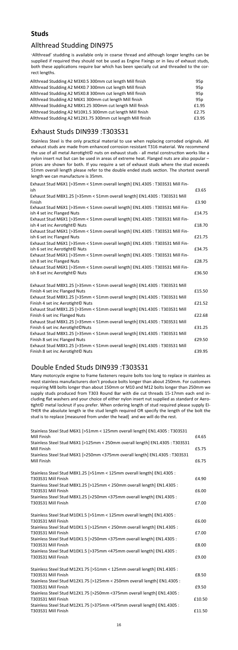## **Studs**

### Allthread Studding DIN975

'Allthread' studding is available only in coarse thread and although longer lengths can be supplied if required they should not be used as Engine Fixings or in lieu of exhaust studs, both these applications require bar which has been specially cut and threaded to the correct lengths.

Stainless Steel is the only practical material to use when replacing corroded originals. All exhaust studs are made from enhanced corrosion resistant T316 material. We recommend the use of all metal Aerotight© nuts on exhaust studs - all metal construction works like a nylon insert nut but can be used in areas of extreme heat. Flanged nuts are also popular – prices are shown for both. If you require a set of exhaust studs where the stud exceeds 51mm overall length please refer to the double ended studs section. The shortest overall length we can manufacture is 35mm.

| Allthread Studding A2 M3X0.5 300mm cut length Mill finish   | 95p   |
|-------------------------------------------------------------|-------|
| Allthread Studding A2 M4X0.7 300mm cut length Mill finish   | 95p   |
| Allthread Studding A2 M5X0.8 300mm cut length Mill finish   | 95p   |
| Allthread Studding A2 M6X1 300mm cut length Mill finish     | 95p   |
| Allthread Studding A2 M8X1.25 300mm cut length Mill finish  | £1.95 |
| Allthread Studding A2 M10X1.5 300mm cut length Mill finish  | £2.75 |
| Allthread Studding A2 M12X1.75 300mm cut length Mill finish | £3.95 |

## Exhaust Studs DIN939 :T303S31

### Double Ended Studs DIN939 :T303S31

Many motorcycle engine to frame fasteners require bolts too long to replace in stainless as most stainless manufacturers don't produce bolts longer than about 250mm. For customers requiring M8 bolts longer than about 150mm or M10 and M12 bolts longer than 250mm we supply studs produced from T303 Round Bar with die cut threads 15-17mm each end including flat washers and your choice of either nylon insert nut supplied as standard or Aerotight© metal locknut if you prefer. When ordering length of stud required please supply EI-THER the absolute length ie the stud length required OR specify the length of the bolt the stud is to replace [measured from under the head] and we will do the rest.

| Exhaust Stud M6X1 [>35mm < 51mm overall length] EN1.4305 : T303S31 Mill Fin-<br>ish | £3.65  |
|-------------------------------------------------------------------------------------|--------|
| Exhaust Stud M8X1.25 [>35mm < 51mm overall length] EN1.4305 : T303S31 Mill          |        |
| Finish                                                                              | £3.90  |
| Exhaust Stud M6X1 [>35mm < 51mm overall length] EN1.4305 : T303S31 Mill Fin-        |        |
| ish 4 set inc Flanged Nuts                                                          | £14.75 |
| Exhaust Stud M6X1 [>35mm < 51mm overall length] EN1.4305 : T303S31 Mill Fin-        |        |
| ish 4 set inc Aerotight© Nuts                                                       | £18.70 |
| Exhaust Stud M6X1 [>35mm < 51mm overall length] EN1.4305 : T303S31 Mill Fin-        |        |
| ish 6 set inc Flanged Nuts                                                          | £21.75 |
| Exhaust Stud M6X1 [>35mm < 51mm overall length] EN1.4305 : T303S31 Mill Fin-        |        |
| ish 6 set inc Aerotight© Nuts                                                       | £34.75 |
| Exhaust Stud M6X1 [>35mm < 51mm overall length] EN1.4305 : T303S31 Mill Fin-        |        |
| ish 8 set inc Flanged Nuts                                                          | £28.75 |
| Exhaust Stud M6X1 [>35mm < 51mm overall length] EN1.4305 : T303S31 Mill Fin-        |        |
| ish 8 set inc Aerotight© Nuts                                                       | £36.50 |
| Exhaust Stud M8X1.25 [>35mm < 51mm overall length] EN1.4305 : T303S31 Mill          |        |
| Finish 4 set inc Flanged Nuts                                                       | £15.50 |
| Exhaust Stud M8X1.25 [>35mm < 51mm overall length] EN1.4305 : T303S31 Mill          |        |
| Finish 4 set inc Aerotight© Nuts                                                    | £21.52 |
| Exhaust Stud M8X1.25 [>35mm < 51mm overall length] EN1.4305 : T303S31 Mill          |        |
| Finish 6 set inc Flanged Nuts                                                       | £22.68 |
| Exhaust Stud M8X1.25 [>35mm < 51mm overall length] EN1.4305 : T303S31 Mill          |        |
| Finish 6 set inc Aerotight©Nuts                                                     | £31.25 |
| Exhaust Stud M8X1.25 [>35mm < 51mm overall length] EN1.4305 : T303S31 Mill          |        |
| Finish 8 set inc Flanged Nuts                                                       | £29.50 |
| Exhaust Stud M8X1.25 [>35mm < 51mm overall length] EN1.4305 : T303S31 Mill          |        |
| Finish 8 set inc Aerotight© Nuts                                                    | £39.95 |
|                                                                                     |        |

| Stainless Steel Stud M6X1 [>51mm < 125mm overall length] EN1.4305 : T303S31<br>Mill Finish                                                                                | £4.65  |
|---------------------------------------------------------------------------------------------------------------------------------------------------------------------------|--------|
| Stainless Steel Stud M6X1 [>125mm < 250mm overall length] EN1.4305 : T303S31<br>Mill Finish                                                                               | £5.75  |
| Stainless Steel Stud M6X1 [>250mm <375mm overall length] EN1.4305 : T303S31<br>Mill Finish                                                                                | £6.75  |
| Stainless Steel Stud M8X1.25 [>51mm < 125mm overall length] EN1.4305 :<br>T303S31 Mill Finish                                                                             | £4.90  |
| Stainless Steel Stud M8X1.25 [>125mm < 250mm overall length] EN1.4305 :<br>T303S31 Mill Finish                                                                            | £6.00  |
| Stainless Steel Stud M8X1.25 [>250mm <375mm overall length] EN1.4305 :<br>T303S31 Mill Finish                                                                             | £7.00  |
| Stainless Steel Stud M10X1.5 [>51mm < 125mm overall length] EN1.4305 :<br>T303S31 Mill Finish                                                                             | £6.00  |
| Stainless Steel Stud M10X1.5 [>125mm < 250mm overall length] EN1.4305 :<br>T303S31 Mill Finish                                                                            | £7.00  |
| Stainless Steel Stud M10X1.5 [>250mm <375mm overall length] EN1.4305 :<br>T303S31 Mill Finish                                                                             | £8.00  |
| Stainless Steel Stud M10X1.5 [>375mm <475mm overall length] EN1.4305 :<br>T303S31 Mill Finish                                                                             | £9.00  |
| Stainless Steel Stud M12X1.75 [>51mm < 125mm overall length] EN1.4305 :<br>T303S31 Mill Finish                                                                            | £8.50  |
| Stainless Steel Stud M12X1.75 [>125mm < 250mm overall length] EN1.4305 :<br>T303S31 Mill Finish                                                                           | £9.50  |
| Stainless Steel Stud M12X1.75 [>250mm <375mm overall length] EN1.4305 :<br>T303S31 Mill Finish<br>Stainless Steel Stud M12X1.75 [>375mm <475mm overall length] EN1.4305 : | £10.50 |
| T303S31 Mill Finish                                                                                                                                                       | £11.50 |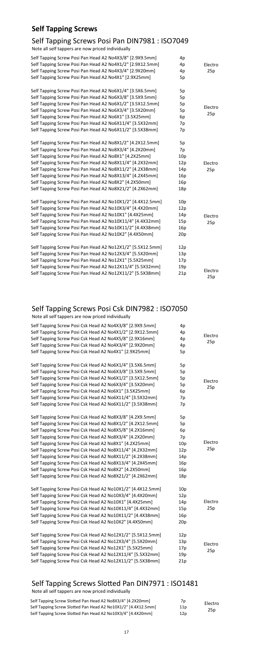## **Self Tapping Screws**

### Self Tapping Screws Posi Pan DIN7981 : ISO7049

Note all self tappers are now priced individually

| Self Tapping Screw Posi Pan Head A2 No4X3/8" [2.9X9.5mm]<br>Self Tapping Screw Posi Pan Head A2 No4X1/2" [2.9X12.5mm]<br>Self Tapping Screw Posi Pan Head A2 No4X3/4" [2.9X20mm]<br>Self Tapping Screw Posi Pan Head A2 No4X1" [2.9X25mm]                                                                                                                                                                                                                                              | 4p<br>4p<br>4p<br>5p                               | Electro<br>25p |
|----------------------------------------------------------------------------------------------------------------------------------------------------------------------------------------------------------------------------------------------------------------------------------------------------------------------------------------------------------------------------------------------------------------------------------------------------------------------------------------|----------------------------------------------------|----------------|
| Self Tapping Screw Posi Pan Head A2 No6X1/4" [3.5X6.5mm]<br>Self Tapping Screw Posi Pan Head A2 No6X3/8" [3.5X9.5mm]<br>Self Tapping Screw Posi Pan Head A2 No6X1/2" [3.5X12.5mm]<br>Self Tapping Screw Posi Pan Head A2 No6X3/4" [3.5X20mm]<br>Self Tapping Screw Posi Pan Head A2 No6X1" [3.5X25mm]<br>Self Tapping Screw Posi Pan Head A2 No6X11/4" [3.5X32mm]<br>Self Tapping Screw Posi Pan Head A2 No6X11/2" [3.5X38mm]                                                          | 5p<br>5p<br>5p<br>5p<br>6p<br>7p<br>7p             | Electro<br>25p |
| Self Tapping Screw Posi Pan Head A2 No8X1/2" [4.2X12.5mm]<br>Self Tapping Screw Posi Pan Head A2 No8X3/4" [4.2X20mm]<br>Self Tapping Screw Posi Pan Head A2 No8X1" [4.2X25mm]<br>Self Tapping Screw Posi Pan Head A2 No8X11/4" [4.2X32mm]<br>Self Tapping Screw Posi Pan Head A2 No8X11/2" [4.2X38mm]<br>Self Tapping Screw Posi Pan Head A2 No8X13/4" [4.2X45mm]<br>Self Tapping Screw Posi Pan Head A2 No8X2" [4.2X50mm]<br>Self Tapping Screw Posi Pan Head A2 No8X21/2" [4.2X62mm] | 5p<br>7p<br>10p<br>12p<br>14p<br>16p<br>16p<br>18p | Electro<br>25p |
| Self Tapping Screw Posi Pan Head A2 No10X1/2" [4.4X12.5mm]<br>Self Tapping Screw Posi Pan Head A2 No10X3/4" [4.4X20mm]<br>Self Tapping Screw Posi Pan Head A2 No10X1" [4.4X25mm]<br>Self Tapping Screw Posi Pan Head A2 No10X11/4" [4.4X32mm]<br>Self Tapping Screw Posi Pan Head A2 No10X11/2" [4.4X38mm]<br>Self Tapping Screw Posi Pan Head A2 No10X2" [4.4X50mm]                                                                                                                   | 10p<br>12p<br>14p<br>15p<br>16p<br>20p             | Electro<br>25p |
| Self Tapping Screw Posi Pan Head A2 No12X1/2" [5.5X12.5mm]<br>Self Tapping Screw Posi Pan Head A2 No12X3/4" [5.5X20mm]<br>Self Tapping Screw Posi Pan Head A2 No12X1" [5.5X25mm]<br>Self Tapping Screw Posi Pan Head A2 No12X11/4" [5.5X32mm]<br>Self Tapping Screw Posi Pan Head A2 No12X11/2" [5.5X38mm]                                                                                                                                                                             | 12p<br>13p<br>17p<br>19p<br>21p                    | Electro<br>25p |

Note all self tappers are now priced individually

## Self Tapping Screws Posi Csk DIN7982 : ISO7050

Note all self tappers are now priced individually

| Self Tapping Screw Posi Csk Head A2 No4X3/8" [2.9X9.5mm]   | 4p  |         |
|------------------------------------------------------------|-----|---------|
| Self Tapping Screw Posi Csk Head A2 No4X1/2" [2.9X12.5mm]  | 4p  |         |
| Self Tapping Screw Posi Csk Head A2 No4X5/8" [2.9X16mm]    | 4p  | Electro |
| Self Tapping Screw Posi Csk Head A2 No4X3/4" [2.9X20mm]    | 4p  | 25p     |
| Self Tapping Screw Posi Csk Head A2 No4X1" [2.9X25mm]      | 5p  |         |
|                                                            |     |         |
| Self Tapping Screw Posi Csk Head A2 No6X1/4" [3.5X6.5mm]   | 5p  |         |
| Self Tapping Screw Posi Csk Head A2 No6X3/8" [3.5X9.5mm]   | 5p  |         |
| Self Tapping Screw Posi Csk Head A2 No6X1/2" [3.5X12.5mm]  | 5p  | Electro |
| Self Tapping Screw Posi Csk Head A2 No6X3/4" [3.5X20mm]    | 5p  | 25p     |
| Self Tapping Screw Posi Csk Head A2 No6X1" [3.5X25mm]      | 6p  |         |
| Self Tapping Screw Posi Csk Head A2 No6X11/4" [3.5X32mm]   | 7p  |         |
| Self Tapping Screw Posi Csk Head A2 No6X11/2" [3.5X38mm]   | 7p  |         |
|                                                            |     |         |
| Self Tapping Screw Posi Csk Head A2 No8X3/8" [4.2X9.5mm]   | 5p  |         |
| Self Tapping Screw Posi Csk Head A2 No8X1/2" [4.2X12.5mm]  | 5p  |         |
| Self Tapping Screw Posi Csk Head A2 No8X5/8" [4.2X16mm]    | 6p  |         |
| Self Tapping Screw Posi Csk Head A2 No8X3/4" [4.2X20mm]    | 7p  |         |
| Self Tapping Screw Posi Csk Head A2 No8X1" [4.2X25mm]      | 10p | Electro |
| Self Tapping Screw Posi Csk Head A2 No8X11/4" [4.2X32mm]   | 12p | 25p     |
| Self Tapping Screw Posi Csk Head A2 No8X11/2" [4.2X38mm]   | 14p |         |
| Self Tapping Screw Posi Csk Head A2 No8X13/4" [4.2X45mm]   | 16p |         |
| Self Tapping Screw Posi Csk Head A2 No8X2" [4.2X50mm]      | 16p |         |
| Self Tapping Screw Posi Csk Head A2 No8X21/2" [4.2X62mm]   | 18p |         |
|                                                            |     |         |
| Self Tapping Screw Posi Csk Head A2 No10X1/2" [4.4X12.5mm] | 10p |         |
| Self Tapping Screw Posi Csk Head A2 No10X3/4" [4.4X20mm]   | 12p |         |
| Self Tapping Screw Posi Csk Head A2 No10X1" [4.4X25mm]     | 14p | Electro |
| Self Tapping Screw Posi Csk Head A2 No10X11/4" [4.4X32mm]  | 15p | 25p     |
| Self Tapping Screw Posi Csk Head A2 No10X11/2" [4.4X38mm]  | 16p |         |
| Self Tapping Screw Posi Csk Head A2 No10X2" [4.4X50mm]     | 20p |         |
|                                                            |     |         |
| Self Tapping Screw Posi Csk Head A2 No12X1/2" [5.5X12.5mm] | 12p |         |
| Self Tapping Screw Posi Csk Head A2 No12X3/4" [5.5X20mm]   | 13p | Electro |
| Self Tapping Screw Posi Csk Head A2 No12X1" [5.5X25mm]     | 17p | 25p     |
| Self Tapping Screw Posi Csk Head A2 No12X11/4" [5.5X32mm]  | 19p |         |
| Self Tapping Screw Posi Csk Head A2 No12X11/2" [5.5X38mm]  | 21p |         |

### Self Tapping Screws Slotted Pan DIN7971 : ISO1481

| Self Tapping Screw Slotted Pan Head A2 No8X3/4" [4.2X20mm]    | 7p  | Electro |
|---------------------------------------------------------------|-----|---------|
| Self Tapping Screw Slotted Pan Head A2 No10X1/2" [4.4X12.5mm] | 11p | 25p     |
| Self Tapping Screw Slotted Pan Head A2 No10X3/4" [4.4X20mm]   | 12p |         |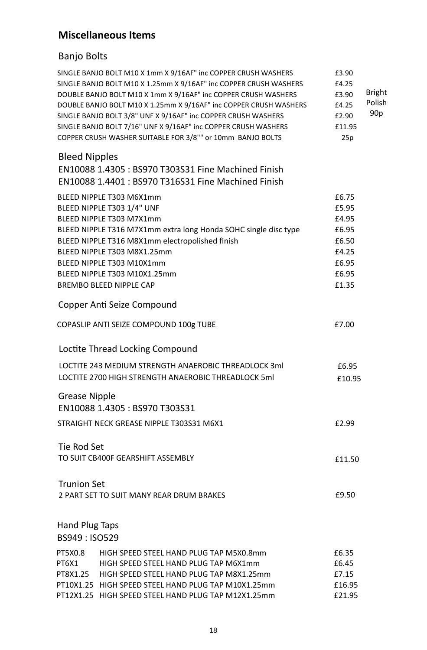#### **Miscellaneous Items**

#### Banjo Bolts

|                       | SINGLE BANJO BOLT M10 X 1mm X 9/16AF" inc COPPER CRUSH WASHERS<br>SINGLE BANJO BOLT M10 X 1.25mm X 9/16AF" inc COPPER CRUSH WASHERS<br>DOUBLE BANJO BOLT M10 X 1mm X 9/16AF" inc COPPER CRUSH WASHERS<br>DOUBLE BANJO BOLT M10 X 1.25mm X 9/16AF" inc COPPER CRUSH WASHERS<br>SINGLE BANJO BOLT 3/8" UNF X 9/16AF" inc COPPER CRUSH WASHERS<br>SINGLE BANJO BOLT 7/16" UNF X 9/16AF" inc COPPER CRUSH WASHERS<br>COPPER CRUSH WASHER SUITABLE FOR 3/8"" or 10mm BANJO BOLTS | £3.90<br>£4.25<br>£3.90<br>£4.25<br>£2.90<br>£11.95<br>25p | <b>Bright</b><br>Polish<br>90 <sub>p</sub> |
|-----------------------|-----------------------------------------------------------------------------------------------------------------------------------------------------------------------------------------------------------------------------------------------------------------------------------------------------------------------------------------------------------------------------------------------------------------------------------------------------------------------------|------------------------------------------------------------|--------------------------------------------|
| <b>Bleed Nipples</b>  |                                                                                                                                                                                                                                                                                                                                                                                                                                                                             |                                                            |                                            |
|                       | EN10088 1.4305 : BS970 T303S31 Fine Machined Finish                                                                                                                                                                                                                                                                                                                                                                                                                         |                                                            |                                            |
|                       | EN10088 1.4401 : BS970 T316S31 Fine Machined Finish                                                                                                                                                                                                                                                                                                                                                                                                                         |                                                            |                                            |
|                       | BLEED NIPPLE T303 M6X1mm                                                                                                                                                                                                                                                                                                                                                                                                                                                    | £6.75                                                      |                                            |
|                       | BLEED NIPPLE T303 1/4" UNF                                                                                                                                                                                                                                                                                                                                                                                                                                                  | £5.95                                                      |                                            |
|                       | BLEED NIPPLE T303 M7X1mm                                                                                                                                                                                                                                                                                                                                                                                                                                                    | £4.95                                                      |                                            |
|                       | BLEED NIPPLE T316 M7X1mm extra long Honda SOHC single disc type                                                                                                                                                                                                                                                                                                                                                                                                             | £6.95                                                      |                                            |
|                       | BLEED NIPPLE T316 M8X1mm electropolished finish                                                                                                                                                                                                                                                                                                                                                                                                                             | £6.50                                                      |                                            |
|                       | BLEED NIPPLE T303 M8X1.25mm                                                                                                                                                                                                                                                                                                                                                                                                                                                 | £4.25                                                      |                                            |
|                       | BLEED NIPPLE T303 M10X1mm                                                                                                                                                                                                                                                                                                                                                                                                                                                   | £6.95                                                      |                                            |
|                       | BLEED NIPPLE T303 M10X1.25mm                                                                                                                                                                                                                                                                                                                                                                                                                                                | £6.95                                                      |                                            |
|                       | <b>BREMBO BLEED NIPPLE CAP</b>                                                                                                                                                                                                                                                                                                                                                                                                                                              | £1.35                                                      |                                            |
|                       | Copper Anti Seize Compound                                                                                                                                                                                                                                                                                                                                                                                                                                                  |                                                            |                                            |
|                       | COPASLIP ANTI SEIZE COMPOUND 100g TUBE                                                                                                                                                                                                                                                                                                                                                                                                                                      | £7.00                                                      |                                            |
|                       | Loctite Thread Locking Compound                                                                                                                                                                                                                                                                                                                                                                                                                                             |                                                            |                                            |
|                       | LOCTITE 243 MEDIUM STRENGTH ANAEROBIC THREADLOCK 3ml                                                                                                                                                                                                                                                                                                                                                                                                                        | £6.95                                                      |                                            |
|                       | LOCTITE 2700 HIGH STRENGTH ANAEROBIC THREADLOCK 5ml                                                                                                                                                                                                                                                                                                                                                                                                                         | £10.95                                                     |                                            |
|                       |                                                                                                                                                                                                                                                                                                                                                                                                                                                                             |                                                            |                                            |
| <b>Grease Nipple</b>  |                                                                                                                                                                                                                                                                                                                                                                                                                                                                             |                                                            |                                            |
|                       | EN10088 1.4305 : BS970 T303S31                                                                                                                                                                                                                                                                                                                                                                                                                                              |                                                            |                                            |
|                       | STRAIGHT NECK GREASE NIPPLE T303S31 M6X1                                                                                                                                                                                                                                                                                                                                                                                                                                    | £2.99                                                      |                                            |
| Tie Rod Set           |                                                                                                                                                                                                                                                                                                                                                                                                                                                                             |                                                            |                                            |
|                       | TO SUIT CB400F GEARSHIFT ASSEMBLY                                                                                                                                                                                                                                                                                                                                                                                                                                           |                                                            |                                            |
|                       |                                                                                                                                                                                                                                                                                                                                                                                                                                                                             | £11.50                                                     |                                            |
| <b>Trunion Set</b>    |                                                                                                                                                                                                                                                                                                                                                                                                                                                                             |                                                            |                                            |
|                       | 2 PART SET TO SUIT MANY REAR DRUM BRAKES                                                                                                                                                                                                                                                                                                                                                                                                                                    | £9.50                                                      |                                            |
|                       |                                                                                                                                                                                                                                                                                                                                                                                                                                                                             |                                                            |                                            |
|                       |                                                                                                                                                                                                                                                                                                                                                                                                                                                                             |                                                            |                                            |
| <b>Hand Plug Taps</b> |                                                                                                                                                                                                                                                                                                                                                                                                                                                                             |                                                            |                                            |
| BS949: ISO529         |                                                                                                                                                                                                                                                                                                                                                                                                                                                                             |                                                            |                                            |
| PT5X0.8               | HIGH SPEED STEEL HAND PLUG TAP M5X0.8mm                                                                                                                                                                                                                                                                                                                                                                                                                                     | £6.35                                                      |                                            |
| PT6X1                 | HIGH SPEED STEEL HAND PLUG TAP M6X1mm                                                                                                                                                                                                                                                                                                                                                                                                                                       | £6.45                                                      |                                            |
| PT8X1.25              | HIGH SPEED STEEL HAND PLUG TAP M8X1.25mm                                                                                                                                                                                                                                                                                                                                                                                                                                    | £7.15                                                      |                                            |
|                       | PT10X1.25 HIGH SPEED STEEL HAND PLUG TAP M10X1.25mm                                                                                                                                                                                                                                                                                                                                                                                                                         | £16.95                                                     |                                            |
|                       | PT12X1.25 HIGH SPEED STEEL HAND PLUG TAP M12X1.25mm                                                                                                                                                                                                                                                                                                                                                                                                                         | £21.95                                                     |                                            |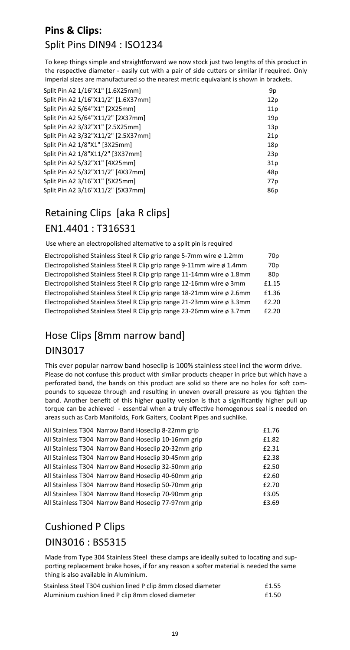## **Pins & Clips:**  Split Pins DIN94 : ISO1234

To keep things simple and straightforward we now stock just two lengths of this product in the respective diameter - easily cut with a pair of side cutters or similar if required. Only imperial sizes are manufactured so the nearest metric equivalant is shown in brackets.

| Split Pin A2 1/16"X1" [1.6X25mm]    | 9p  |
|-------------------------------------|-----|
| Split Pin A2 1/16"X11/2" [1.6X37mm] | 12p |
| Split Pin A2 5/64"X1" [2X25mm]      | 11p |
| Split Pin A2 5/64"X11/2" [2X37mm]   | 19p |
| Split Pin A2 3/32"X1" [2.5X25mm]    | 13p |
| Split Pin A2 3/32"X11/2" [2.5X37mm] | 21p |
| Split Pin A2 1/8"X1" [3X25mm]       | 18p |
| Split Pin A2 1/8"X11/2" [3X37mm]    | 23p |
| Split Pin A2 5/32"X1" [4X25mm]      | 31p |
| Split Pin A2 5/32"X11/2" [4X37mm]   | 48p |
| Split Pin A2 3/16"X1" [5X25mm]      | 77p |
| Split Pin A2 3/16"X11/2" [5X37mm]   | 86p |
|                                     |     |

## Retaining Clips [aka R clips] EN1.4401 : T316S31

Use where an electropolished alternative to a split pin is required

| Electropolished Stainless Steel R Clip grip range 5-7mm wire ø 1.2mm   | 70p             |
|------------------------------------------------------------------------|-----------------|
| Electropolished Stainless Steel R Clip grip range 9-11mm wire ø 1.4mm  | 70 <sub>p</sub> |
| Electropolished Stainless Steel R Clip grip range 11-14mm wire ø 1.8mm | 80 <sub>p</sub> |
| Electropolished Stainless Steel R Clip grip range 12-16mm wire ø 3mm   | £1.15           |
| Electropolished Stainless Steel R Clip grip range 18-21mm wire ø 2.6mm | £1.36           |
| Electropolished Stainless Steel R Clip grip range 21-23mm wire ø 3.3mm | £2.20           |
| Electropolished Stainless Steel R Clip grip range 23-26mm wire ø 3.7mm | £2.20           |

## Hose Clips [8mm narrow band] DIN3017

This ever popular narrow band hoseclip is 100% stainless steel incl the worm drive. Please do not confuse this product with similar products cheaper in price but which have a perforated band, the bands on this product are solid so there are no holes for soft compounds to squeeze through and resulting in uneven overall pressure as you tighten the band. Another benefit of this higher quality version is that a significantly higher pull up torque can be achieved - essential when a truly effective homogenous seal is needed on areas such as Carb Manifolds, Fork Gaiters, Coolant Pipes and suchlike.

| All Stainless T304 Narrow Band Hoseclip 8-22mm grip  | £1.76 |
|------------------------------------------------------|-------|
| All Stainless T304 Narrow Band Hoseclip 10-16mm grip | £1.82 |
| All Stainless T304 Narrow Band Hoseclip 20-32mm grip | £2.31 |
| All Stainless T304 Narrow Band Hoseclip 30-45mm grip | £2.38 |
| All Stainless T304 Narrow Band Hoseclip 32-50mm grip | £2.50 |
| All Stainless T304 Narrow Band Hoseclip 40-60mm grip | £2.60 |
| All Stainless T304 Narrow Band Hoseclip 50-70mm grip | £2.70 |
| All Stainless T304 Narrow Band Hoseclip 70-90mm grip | £3.05 |
| All Stainless T304 Narrow Band Hoseclip 77-97mm grip | £3.69 |

# Cushioned P Clips

### DIN3016 : BS5315

Made from Type 304 Stainless Steel these clamps are ideally suited to locating and supporting replacement brake hoses, if for any reason a softer material is needed the same thing is also available in Aluminium.

| Stainless Steel T304 cushion lined P clip 8mm closed diameter | £1.55 |
|---------------------------------------------------------------|-------|
| Aluminium cushion lined P clip 8mm closed diameter            | £1.50 |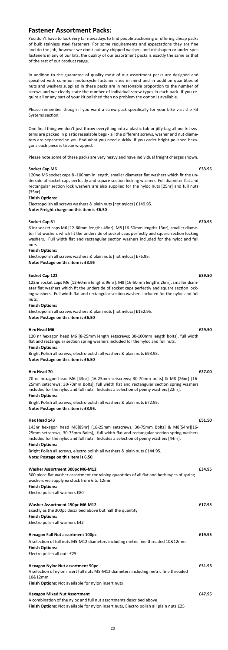You don't have to look very far nowadays to find people auctioning or offering cheap packs of bulk stainless steel fasteners. For some requirements and expectations they are fine and do the job, however we don't put any chipped washers and misshapen or under spec fasteners in any of our kits, the quality of our assortment packs is exactly the same as that of the rest of our product range.

In addition to the guarantee of quality most of our assortment packs are designed and specified with common motorcycle fastener sizes in mind and in addition quantities of nuts and washers supplied in these packs are in reasonable proportion to the number of screws and we clearly state the number of individual screw types in each pack. If you require all or any part of your kit polished then no problem the option is available.

Please remember though if you want a screw pack specifically for your bike visit the Kit Systems section.

One final thing we don't just throw everything into a plastic tub or jiffy bag all our kit systems are packed in plastic resealable bags - all the different screws, washer and nut diameters are separated so you find what you need quickly. If you order bright polished hexagons each piece is tissue wrapped.

Please note some of these packs are very heavy and have individual freight charges shown.

#### **Socket Cap M6** *asset Cap M6**<b>E33.95 <i>E33.95*

#### 120 nr hexagon head M6 [8-25mm length setscrews; 30-100mm length bolts], full width flat and rectangular section spring washers included for the nyloc and full nuts.

#### **Finish Options:**

70 nr hexagon head M6 [43nr] [16-25mm setscrews; 30-70mm bolts] & M8 [26nr] [16- 25mm setscrews; 30-70mm Bolts], full width flat and rectangular section spring washers included for the nyloc and full nuts. Includes a selection of penny washers [22nr].

#### **Finish Options:**

120no M6 socket caps 8 -100mm in length, smaller diameter flat washers which fit the underside of socket caps perfectly and square section locking washers. Full diameter flat and rectangular section lock washers are also supplied for the nyloc nuts [25nr] and full nuts [35nr].

#### **Finish Options:**

143nr hexagon head M6[89nr] [16-25mm setscrews; 30-75mm Bolts] & M8[54nr][16- 25mm setscrews; 30-75mm Bolts], full width flat and rectangular section spring washers included for the nyloc and full nuts. Includes a selection of penny washers [44nr].

#### **Finish Options:**

Electropolish all screws washers & plain nuts [not nylocs] £149.95. **Note: Freight charge on this item is £6.50** 

#### **Socket Cap 61 E20.95 E20.95**

61nr socket caps M6 [12-60mm lengths 48nr], M8 [16-50mm lengths 13nr], smaller diameter flat washers which fit the underside of socket caps perfectly and square section locking washers. Full width flat and rectangular section washers included for the nyloc and full nuts.

#### **Finish OpƟons:**

Electropolish all screws washers & plain nuts [not nylocs] £76.95. **Note: Postage on this item is £3.95** 

#### **Socket Cap 122 E39.50**

122nr socket caps M6 [12-60mm lengths 96nr], M8 [16-50mm lengths 26nr], smaller diameter flat washers which fit the underside of socket caps perfectly and square section locking washers. Full width flat and rectangular section washers included for the nyloc and full nuts.

#### **Finish Options:**

Electropolish all screws washers & plain nuts [not nylocs] £152.95. **Note: Postage on this item is £6.50** 

#### **Hex Head M6 £29.50**

Bright Polish all screws, electro polish all washers & plain nuts £93.95. **Note: Postage on this item is £6.50** 

#### **Hex Head 70 £27.00**

Bright Polish all screws, electro polish all washers & plain nuts £72.95. **Note: Postage on this item is £3.95.** 

#### **Hex Head 143 £51.50**

Bright Polish all screws, electro polish all washers & plain nuts £144.95.

#### **Note: Postage on this item is 6.50**

| <b>Washer Assortment 300pc M6-M12</b><br>300 piece flat washer assortment containing quantities of all flat and both types of spring<br>washers we supply ex stock from 6 to 12mm<br><b>Finish Options:</b><br>Electro polish all washers £80 | £34.95 |
|-----------------------------------------------------------------------------------------------------------------------------------------------------------------------------------------------------------------------------------------------|--------|
| <b>Washer Assortment 150pc M6-M12</b><br>Exactly as the 300pc described above but half the quantity<br><b>Finish Options:</b><br>Electro polish all washers £42                                                                               | £17.95 |
| <b>Hexagon Full Nut assortment 100pc</b><br>A selection of full nuts M5-M12 diameters including metric fine threaded 10&12mm<br><b>Finish Options:</b><br>Electro polish all nuts £25                                                         | £19.95 |
| <b>Hexagon Nyloc Nut assortment 50pc</b><br>A selection of nylon insert full nuts M5-M12 diameters including metric fine threaded<br>10&12mm<br>Finish Options: Not available for nylon insert nuts                                           | £31.95 |
| <b>Hexagon Mixed Nut Assortment</b><br>A combination of the nyloc and full nut assortments described above<br>Finish Options: Not available for nylon insert nuts, Electro polish all plain nuts £25                                          | £47.95 |

### **Fastener Assortment Packs:**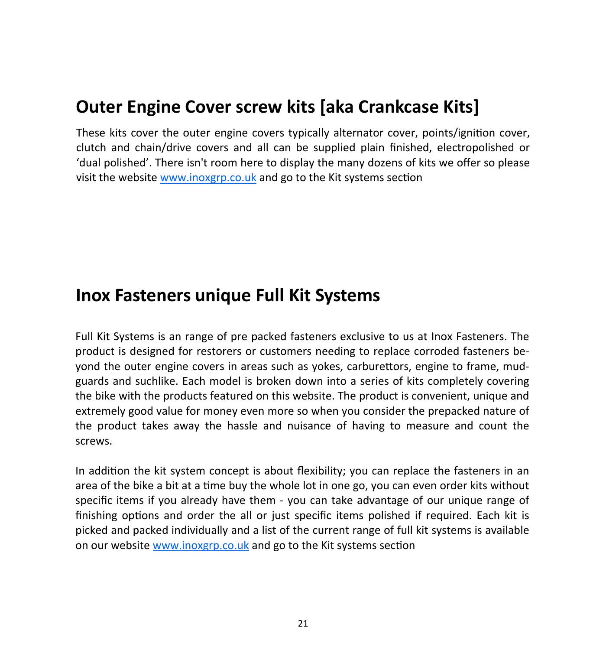#### **Outer Engine Cover screw kits [aka Crankcase Kits]**

These kits cover the outer engine covers typically alternator cover, points/ignition cover, clutch and chain/drive covers and all can be supplied plain finished, electropolished or 'dual polished'. There isn't room here to display the many dozens of kits we offer so please visit the website www.inoxgrp.co.uk and go to the Kit systems section

#### **Inox Fasteners unique Full Kit Systems**

Full Kit Systems is an range of pre packed fasteners exclusive to us at Inox Fasteners. The product is designed for restorers or customers needing to replace corroded fasteners beyond the outer engine covers in areas such as yokes, carburettors, engine to frame, mudguards and suchlike. Each model is broken down into a series of kits completely covering the bike with the products featured on this website. The product is convenient, unique and extremely good value for money even more so when you consider the prepacked nature of the product takes away the hassle and nuisance of having to measure and count the screws.

In addition the kit system concept is about flexibility; you can replace the fasteners in an area of the bike a bit at a time buy the whole lot in one go, you can even order kits without specific items if you already have them - you can take advantage of our unique range of finishing options and order the all or just specific items polished if required. Each kit is picked and packed individually and a list of the current range of full kit systems is available on our website www.inoxgrp.co.uk and go to the Kit systems section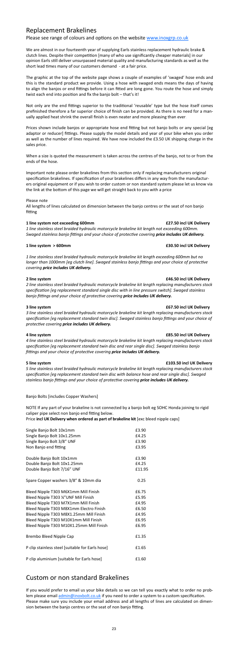### Replacement Brakelines

#### Please see range of colours and options on the website www.inoxgrp.co.uk

We are almost in our fourteenth year of supplying Earls stainless replacement hydraulic brake & clutch lines. Despite their competition [many of who use significantly cheaper materials] in our opinion Earls sƟll deliver unsurpassed material quality and manufacturing standards as well as the short lead times many of our customers demand - at a fair price.

The graphic at the top of the website page shows a couple of examples of 'swaged' hose ends and this is the standard product we provide. Using a hose with swaged ends means the days of having to align the banjos or end fittings before it can fitted are long gone. You route the hose and simply twist each end into position and fix the banjo bolt – that's it!

Not only are the end fittings superior to the traditional 'reusable' type but the hose itself comes prefinished therefore a far superior choice of finish can be provided. As there is no need for a man‐ ually applied heat shrink the overall finish is even neater and more pleasing than ever.

Prices shown include banjos or appropriate hose end fitting but not banjo bolts or any special [eg] adaptor or reducer] fittings. Please supply the model details and year of your bike when you order as well as the number of lines required. We have now included the £3.50 UK shipping charge in the sales price.

All lengths of lines calculated on dimension between the banjo centres or the seat of non banjo fitting

When a size is quoted the measurement is taken across the centres of the banjo, not to or from the ends of the hose.

Important note please order brakelines from this section only if replacing manufacturers original specification brakelines. If specification of your brakelines differs in any way from the manufacturers original equipment or if you wish to order custom or non standard system please let us know via the link at the bottom of this page we will get straight back to you with a price

#### Please note

NOTE If any part of your brakeline is not connected by a banjo bolt eg SOHC Honda joining to rigid caliper pipe select non banjo end fitting below.

#### **1 line system not exceeding 600mm £27.50 incl UK Delivery**

*1 line stainless steel braided hydraulic motorcycle brakeline kit length not exceeding 600mm. Swaged stainless banjo fiƫngs and your choice of protecƟve covering price includes UK delivery.*

#### **1 line system > 600mm £30.50 incl UK Delivery**

If you would prefer to email us your bike details so we can tell you exactly what to order no prob‐ lem please email admin@inoxbolt.co.uk if you need to order a system to a custom specification. Please make sure you include your email address and all lengths of lines are calculated on dimen‐ sion between the banjo centres or the seat of non banjo fitting.

*1 line stainless steel braided hydraulic motorcycle brakeline kit length exceeding 600mm but no* longer than 1000mm [eg clutch line]. Swaged stainless banjo fittings and your choice of protective *covering price includes UK delivery.*

#### **2 line system £46.50 incl UK Delivery**

*2 line stainless steel braided hydraulic motorcycle brakeline kit length replacing manufacturers stock specificaƟon [eg replacement standard single disc with in line pressure switch]. Swaged stainless banjo fiƫngs and your choice of protecƟve covering price includes UK delivery.*

#### **3 line system £67.50 incl UK Delivery**

*3 line stainless steel braided hydraulic motorcycle brakeline kit length replacing manufacturers stock specificaƟon [eg replacement standard twin disc]. Swaged stainless banjo fiƫngs and your choice of protecƟve covering price includes UK delivery.*

#### **4 line system £85.50 incl UK Delivery**

*4 line stainless steel braided hydraulic motorcycle brakeline kit length replacing manufacturers stock*

*specificaƟon [eg replacement standard twin disc and rear single disc]. Swaged stainless banjo fiƫngs and your choice of protecƟve covering price includes UK delivery.*

#### **5 line system £103.50 incl UK Delivery**

*5 line stainless steel braided hydraulic motorcycle brakeline kit length replacing manufacturers stock specificaƟon [eg replacement standard twin disc with balance hose and rear single disc]. Swaged stainless banjo fiƫngs and your choice of protecƟve covering price includes UK delivery.*

Banjo Bolts [includes Copper Washers]

Price **incl UK Delivery when ordered as part of brakeline kit** [exc bleed nipple caps]

| Single Banjo Bolt 10x1mm                         | £3.90  |
|--------------------------------------------------|--------|
| Single Banjo Bolt 10x1.25mm                      | £4.25  |
| Single Banjo Bolt 3/8" UNF                       | £3.90  |
| Non Banjo end fitting                            | £3.95  |
| Double Banjo Bolt 10x1mm                         | £3.90  |
| Double Banjo Bolt 10x1.25mm                      | £4.25  |
| Double Banjo Bolt 7/16" UNF                      | £11.95 |
| Spare Copper washers 3/8" & 10mm dia             | 0.25   |
| Bleed Nipple T303 M6X1mm Mill Finish             | £6.75  |
| Bleed Nipple T303 %"UNF Mill Finish              | £5.95  |
| Bleed Nipple T303 M7X1mm Mill Finish             | £4.95  |
| Bleed Nipple T303 M8X1mm Electro Finish          | £6.50  |
| Bleed Nipple T303 M8X1.25mm Mill Finish          | £4.95  |
| Bleed Nipple T303 M10X1mm Mill Finish            | £6.95  |
| Bleed Nipple T303 M10X1.25mm Mill Finish         | £6.95  |
| Brembo Bleed Nipple Cap                          | £1.35  |
| P clip stainless steel [suitable for Earls hose] | £1.65  |
| P clip aluminium [suitable for Earls hose]       | £1.60  |

#### Custom or non standard Brakelines